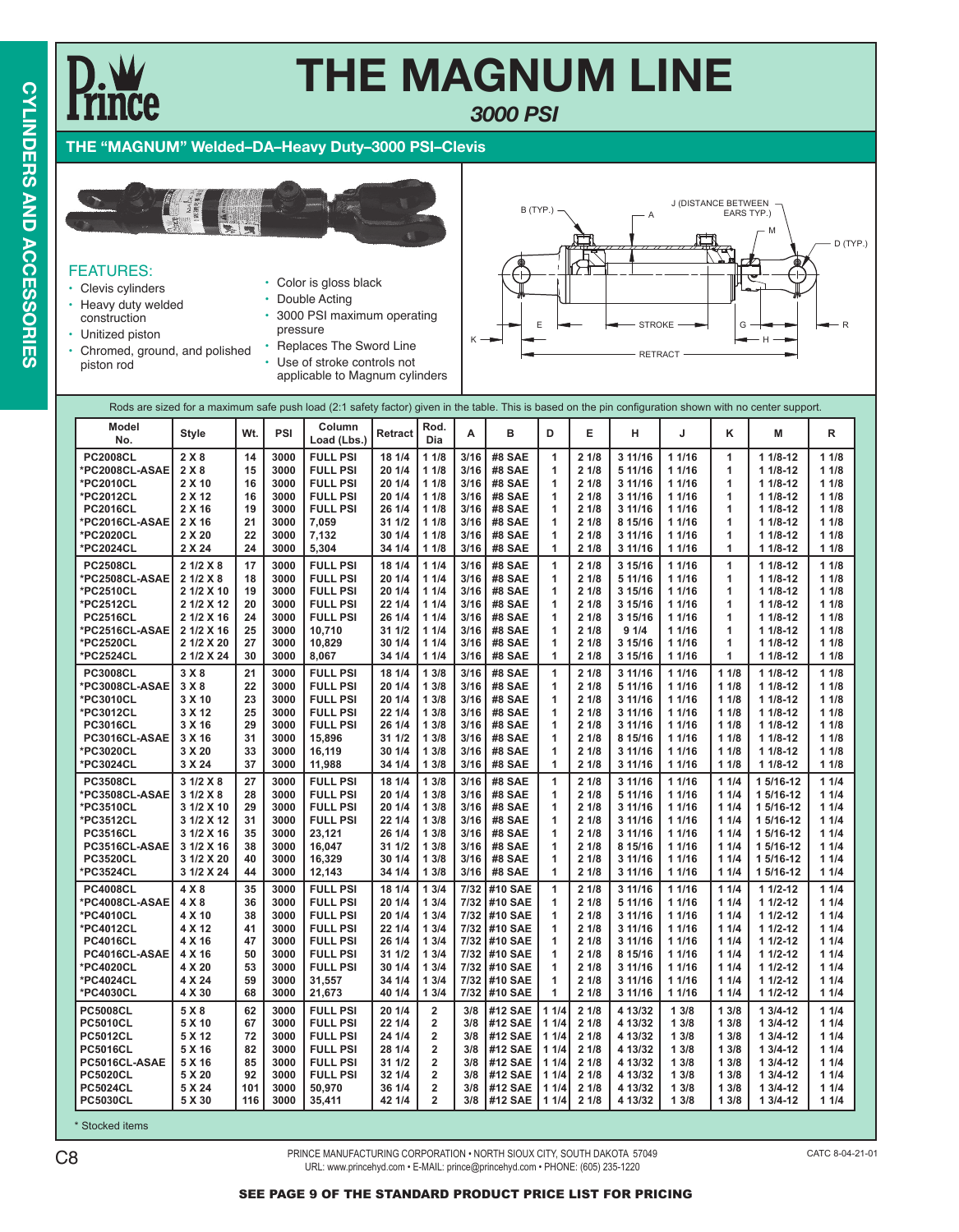### **THE MAGNUM LINE** *3000 PSI*

### **THE "MAGNUM" Welded–DA–Heavy Duty–3000 PSI–Clevis**



### FEATURES:

- Clevis cylinders
- Heavy duty welded
	- construction
- Unitized piston
- Chromed, ground, and polished piston rod
- Color is gloss black
- Double Acting
- 3000 PSI maximum operating pressure
- Replaces The Sword Line
- Use of stroke controls not applicable to Magnum cylinders



#### Rods are sized for a maximum safe push load (2:1 safety factor) given in the table. This is based on the pin configuration shown with no center support.

| Model<br>No.    | <b>Style</b> | Wt. | PSI  | Column<br>Load (Lbs.) | <b>Retract</b> | Rod.<br>Dia             | A    | в             | D            | Е            | н       | J      | Κ            | М           | R    |
|-----------------|--------------|-----|------|-----------------------|----------------|-------------------------|------|---------------|--------------|--------------|---------|--------|--------------|-------------|------|
|                 |              |     |      |                       |                |                         |      |               |              |              |         |        |              |             |      |
| <b>PC2008CL</b> | 2X8          | 14  | 3000 | <b>FULL PSI</b>       | 18 1/4         | 11/8                    | 3/16 | #8 SAE        | 1            | 21/8         | 3 11/16 | 1 1/16 | $\mathbf{1}$ | $11/8-12$   | 11/8 |
| *PC2008CL-ASAE  | 2X8          | 15  | 3000 | <b>FULL PSI</b>       | 20 1/4         | 11/8                    | 3/16 | #8 SAE        | 1            | 21/8         | 5 11/16 | 1 1/16 | 1            | $11/8-12$   | 11/8 |
| *PC2010CL       | 2 X 10       | 16  | 3000 | <b>FULL PSI</b>       | 20 1/4         | 11/8                    | 3/16 | #8 SAE        | 1            | 21/8         | 3 11/16 | 1 1/16 | 1            | $11/8-12$   | 11/8 |
| *PC2012CL       | 2 X 12       | 16  | 3000 | <b>FULL PSI</b>       | 20 1/4         | 11/8                    | 3/16 | #8 SAE        | 1            | 21/8         | 3 11/16 | 11/16  | 1            | $11/8-12$   | 11/8 |
| <b>PC2016CL</b> | 2 X 16       | 19  | 3000 | <b>FULL PSI</b>       | 26 1/4         | 11/8                    | 3/16 | #8 SAE        | $\mathbf{1}$ | 21/8         | 3 11/16 | 1 1/16 | 1            | $11/8-12$   | 11/8 |
| *PC2016CL-ASAE  | 2 X 16       | 21  | 3000 | 7.059                 | 311/2          | 11/8                    | 3/16 | #8 SAE        | 1            | 21/8         | 8 15/16 | 1 1/16 | 1            | $11/8-12$   | 11/8 |
| *PC2020CL       | 2 X 20       | 22  | 3000 | 7,132                 | 30 1/4         | 11/8                    | 3/16 | #8 SAE        | 1            | 21/8         | 3 11/16 | 1 1/16 | 1            | $11/8-12$   | 11/8 |
| *PC2024CL       | 2 X 24       | 24  | 3000 | 5,304                 | 34 1/4         | 11/8                    | 3/16 | <b>#8 SAE</b> | 1            | 21/8         | 3 11/16 | 1 1/16 | 1            | $11/8-12$   | 11/8 |
| <b>PC2508CL</b> | 21/2 X8      | 17  | 3000 | <b>FULL PSI</b>       | 18 1/4         | 11/4                    | 3/16 | #8 SAE        | $\mathbf{1}$ | 21/8         | 3 15/16 | 1 1/16 | 1            | $11/8-12$   | 11/8 |
| *PC2508CL-ASAE  | 21/2 X8      | 18  | 3000 | <b>FULL PSI</b>       | 20 1/4         | 11/4                    | 3/16 | #8 SAE        | 1            | 21/8         | 5 11/16 | 1 1/16 | 1            | $11/8-12$   | 11/8 |
| *PC2510CL       | 2 1/2 X 10   | 19  | 3000 | <b>FULL PSI</b>       | 20 1/4         | 11/4                    | 3/16 | #8 SAE        | 1            | 21/8         | 3 15/16 | 1 1/16 | 1            | $11/8-12$   | 11/8 |
| *PC2512CL       | 2 1/2 X 12   | 20  | 3000 | <b>FULL PSI</b>       | 22 1/4         | 11/4                    | 3/16 | #8 SAE        | 1            | 21/8         | 3 15/16 | 1 1/16 | 1            | $11/8-12$   | 11/8 |
| <b>PC2516CL</b> | 2 1/2 X 16   | 24  | 3000 | <b>FULL PSI</b>       | 26 1/4         | 11/4                    | 3/16 | #8 SAE        | 1            | 21/8         | 3 15/16 | 1 1/16 | 1            | $11/8-12$   | 11/8 |
| *PC2516CL-ASAE  | 2 1/2 X 16   | 25  | 3000 | 10,710                | 31 1/2         | 11/4                    | 3/16 | #8 SAE        | 1            | 21/8         | 91/4    | 1 1/16 | 1            | $11/8-12$   | 11/8 |
| *PC2520CL       | 2 1/2 X 20   | 27  | 3000 | 10,829                | 30 1/4         | 11/4                    | 3/16 | <b>#8 SAE</b> | $\mathbf{1}$ | 21/8         | 3 15/16 | 1 1/16 | 1            | $11/8-12$   | 11/8 |
| *PC2524CL       | 2 1/2 X 24   | 30  | 3000 | 8,067                 | 34 1/4         | 11/4                    | 3/16 | <b>#8 SAE</b> | 1            | 21/8         | 3 15/16 | 1 1/16 | 1            | $11/8-12$   | 11/8 |
| <b>PC3008CL</b> | 3X8          | 21  | 3000 | <b>FULL PSI</b>       | 18 1/4         | 13/8                    | 3/16 | #8 SAE        | 1            | 21/8         | 3 11/16 | 1 1/16 | 11/8         | $11/8-12$   | 11/8 |
| *PC3008CL-ASAE  | 3X8          | 22  | 3000 | <b>FULL PSI</b>       | 20 1/4         | 13/8                    | 3/16 | #8 SAE        | 1            | 21/8         | 5 11/16 | 1 1/16 | 11/8         | $11/8-12$   | 11/8 |
| *PC3010CL       | 3 X 10       | 23  | 3000 | <b>FULL PSI</b>       | 20 1/4         | 13/8                    | 3/16 | #8 SAE        | 1            | 21/8         | 3 11/16 | 1 1/16 | 11/8         | $11/8-12$   | 11/8 |
| *PC3012CL       | 3 X 12       | 25  | 3000 | <b>FULL PSI</b>       | 22 1/4         | 13/8                    | 3/16 | #8 SAE        | 1            | 21/8         | 311/16  | 1 1/16 | 11/8         | $11/8-12$   | 11/8 |
| <b>PC3016CL</b> | 3 X 16       | 29  | 3000 | <b>FULL PSI</b>       | 26 1/4         | 13/8                    | 3/16 | #8 SAE        | 1            | 21/8         | 3 11/16 | 1 1/16 | 11/8         | $11/8-12$   | 11/8 |
| PC3016CL-ASAE   | 3 X 16       | 31  | 3000 | 15.896                | 311/2          | 13/8                    | 3/16 | #8 SAE        | 1            | 21/8         | 8 15/16 | 1 1/16 | 11/8         | $11/8-12$   | 11/8 |
| *PC3020CL       | 3 X 20       | 33  | 3000 | 16,119                | 30 1/4         | 13/8                    | 3/16 | #8 SAE        | 1            | 21/8         | 3 11/16 | 1 1/16 | 11/8         | $11/8-12$   | 11/8 |
| *PC3024CL       | 3 X 24       | 37  | 3000 | 11,988                | 34 1/4         | 13/8                    | 3/16 | <b>#8 SAE</b> | 1            | 21/8         | 3 11/16 | 1 1/16 | 11/8         | $11/8-12$   | 11/8 |
|                 |              | 27  | 3000 | <b>FULL PSI</b>       | 18 1/4         | 13/8                    | 3/16 |               |              |              | 3 11/16 | 1 1/16 |              |             | 11/4 |
| <b>PC3508CL</b> | 3 1/2 X 8    | 28  | 3000 |                       |                |                         |      | #8 SAE        | 1            | 21/8<br>21/8 |         | 1 1/16 | 11/4         | 1 5/16-12   |      |
| *PC3508CL-ASAE  | 31/2 X8      |     |      | <b>FULL PSI</b>       | 20 1/4         | 13/8                    | 3/16 | #8 SAE        | 1            |              | 5 11/16 |        | 11/4         | 1 5/16-12   | 11/4 |
| *PC3510CL       | 3 1/2 X 10   | 29  | 3000 | <b>FULL PSI</b>       | 20 1/4         | 13/8                    | 3/16 | #8 SAE        | 1            | 21/8         | 3 11/16 | 1 1/16 | 11/4         | 1 5/16-12   | 11/4 |
| *PC3512CL       | 3 1/2 X 12   | 31  | 3000 | <b>FULL PSI</b>       | 22 1/4         | 13/8                    | 3/16 | #8 SAE        | 1            | 21/8         | 3 11/16 | 1 1/16 | 11/4         | 1 5/16-12   | 11/4 |
| <b>PC3516CL</b> | 3 1/2 X 16   | 35  | 3000 | 23.121                | 26 1/4         | 13/8                    | 3/16 | #8 SAE        | 1            | 21/8         | 3 11/16 | 1 1/16 | 11/4         | 1 5/16-12   | 11/4 |
| PC3516CL-ASAE   | 3 1/2 X 16   | 38  | 3000 | 16.047                | 311/2          | 13/8                    | 3/16 | #8 SAE        | 1            | 21/8         | 8 15/16 | 1 1/16 | 11/4         | 1 5/16-12   | 11/4 |
| <b>PC3520CL</b> | 3 1/2 X 20   | 40  | 3000 | 16,329                | 30 1/4         | 13/8                    | 3/16 | <b>#8 SAE</b> | 1            | 21/8         | 3 11/16 | 1 1/16 | 11/4         | 1 5/16-12   | 11/4 |
| *PC3524CL       | 3 1/2 X 24   | 44  | 3000 | 12,143                | 34 1/4         | 13/8                    | 3/16 | <b>#8 SAE</b> | $\mathbf{1}$ | 21/8         | 3 11/16 | 1 1/16 | 11/4         | 1 5/16-12   | 11/4 |
| <b>PC4008CL</b> | 4 X 8        | 35  | 3000 | <b>FULL PSI</b>       | 18 1/4         | 13/4                    | 7/32 | #10 SAE       | 1            | 21/8         | 3 11/16 | 1 1/16 | 11/4         | $11/2-12$   | 11/4 |
| *PC4008CL-ASAE  | 4 X 8        | 36  | 3000 | <b>FULL PSI</b>       | 20 1/4         | 13/4                    |      | 7/32 #10 SAE  | 1            | 21/8         | 5 11/16 | 1 1/16 | 11/4         | $11/2-12$   | 11/4 |
| *PC4010CL       | 4 X 10       | 38  | 3000 | <b>FULL PSI</b>       | 20 1/4         | 13/4                    |      | 7/32 #10 SAE  | 1            | 21/8         | 3 11/16 | 1 1/16 | 11/4         | $11/2-12$   | 11/4 |
| *PC4012CL       | 4 X 12       | 41  | 3000 | <b>FULL PSI</b>       | 22 1/4         | 13/4                    |      | 7/32 #10 SAE  | 1            | 21/8         | 3 11/16 | 1 1/16 | 11/4         | $11/2 - 12$ | 11/4 |
| <b>PC4016CL</b> | 4 X 16       | 47  | 3000 | <b>FULL PSI</b>       | 26 1/4         | 13/4                    | 7/32 | #10 SAE       | 1            | 21/8         | 3 11/16 | 1 1/16 | 11/4         | $11/2 - 12$ | 11/4 |
| PC4016CL-ASAE   | 4 X 16       | 50  | 3000 | <b>FULL PSI</b>       | 31 1/2         | 13/4                    |      | 7/32 #10 SAE  | 1            | 21/8         | 8 15/16 | 1 1/16 | 11/4         | $11/2-12$   | 11/4 |
| *PC4020CL       | 4 X 20       | 53  | 3000 | <b>FULL PSI</b>       | 30 1/4         | 13/4                    | 7/32 | #10 SAE       | 1            | 21/8         | 3 11/16 | 1 1/16 | 11/4         | $11/2-12$   | 11/4 |
| *PC4024CL       | 4 X 24       | 59  | 3000 | 31,557                | 34 1/4         | 13/4                    |      | 7/32 #10 SAE  | 1            | 21/8         | 3 11/16 | 1 1/16 | 11/4         | $11/2 - 12$ | 11/4 |
| *PC4030CL       | 4 X 30       | 68  | 3000 | 21,673                | 40 1/4         | 13/4                    |      | 7/32 #10 SAE  | 1            | 21/8         | 3 11/16 | 11/16  | 11/4         | $11/2-12$   | 11/4 |
| <b>PC5008CL</b> | 5 X 8        | 62  | 3000 | <b>FULL PSI</b>       | 20 1/4         | $\overline{2}$          | 3/8  | #12 SAE       | 11/4         | 21/8         | 4 13/32 | 13/8   | 13/8         | $13/4-12$   | 11/4 |
| <b>PC5010CL</b> | 5 X 10       | 67  | 3000 | <b>FULL PSI</b>       | 22 1/4         | $\overline{2}$          | 3/8  | #12 SAE       | 11/4         | 21/8         | 4 13/32 | 13/8   | 13/8         | $13/4-12$   | 11/4 |
| <b>PC5012CL</b> | 5 X 12       | 72  | 3000 | <b>FULL PSI</b>       | 24 1/4         | $\overline{2}$          | 3/8  | #12 SAE       | 11/4         | 21/8         | 4 13/32 | 13/8   | 13/8         | $13/4-12$   | 11/4 |
| <b>PC5016CL</b> | 5 X 16       | 82  | 3000 | <b>FULL PSI</b>       | 28 1/4         | $\overline{2}$          | 3/8  | #12 SAE       | 11/4         | 21/8         | 4 13/32 | 13/8   | 13/8         | $13/4-12$   | 11/4 |
| PC5016CL-ASAE   | 5 X 16       | 85  | 3000 | <b>FULL PSI</b>       | 311/2          | $\overline{\mathbf{c}}$ | 3/8  | #12 SAE       | 11/4         | 21/8         | 4 13/32 | 13/8   | 13/8         | $13/4-12$   | 11/4 |
| <b>PC5020CL</b> | 5 X 20       | 92  | 3000 | <b>FULL PSI</b>       | 32 1/4         | $\overline{2}$          | 3/8  | #12 SAE       | 11/4         | 21/8         | 4 13/32 | 13/8   | 13/8         | $13/4-12$   | 11/4 |
| <b>PC5024CL</b> | 5 X 24       | 101 | 3000 | 50,970                | 36 1/4         | 2                       | 3/8  | #12 SAE       | 11/4         | 21/8         | 4 13/32 | 13/8   | 13/8         | 1 3/4-12    | 11/4 |
| <b>PC5030CL</b> | 5 X 30       | 116 | 3000 | 35,411                | 42 1/4         | $\overline{2}$          | 3/8  | #12 SAE       | 11/4         | 21/8         | 4 13/32 | 13/8   | 13/8         | $13/4 - 12$ | 11/4 |
|                 |              |     |      |                       |                |                         |      |               |              |              |         |        |              |             |      |

Stocked items

PRINCE MANUFACTURING CORPORATION • NORTH SIOUX CITY, SOUTH DAKOTA 57049 CO CHE MANUFACTURING CORPORATION • NORTH SIOUX CITY, SOUTH DAKOTA 57049<br>URL: www.princehyd.com • E-MAIL: prince@princehyd.com • PHONE: (605) 235-1220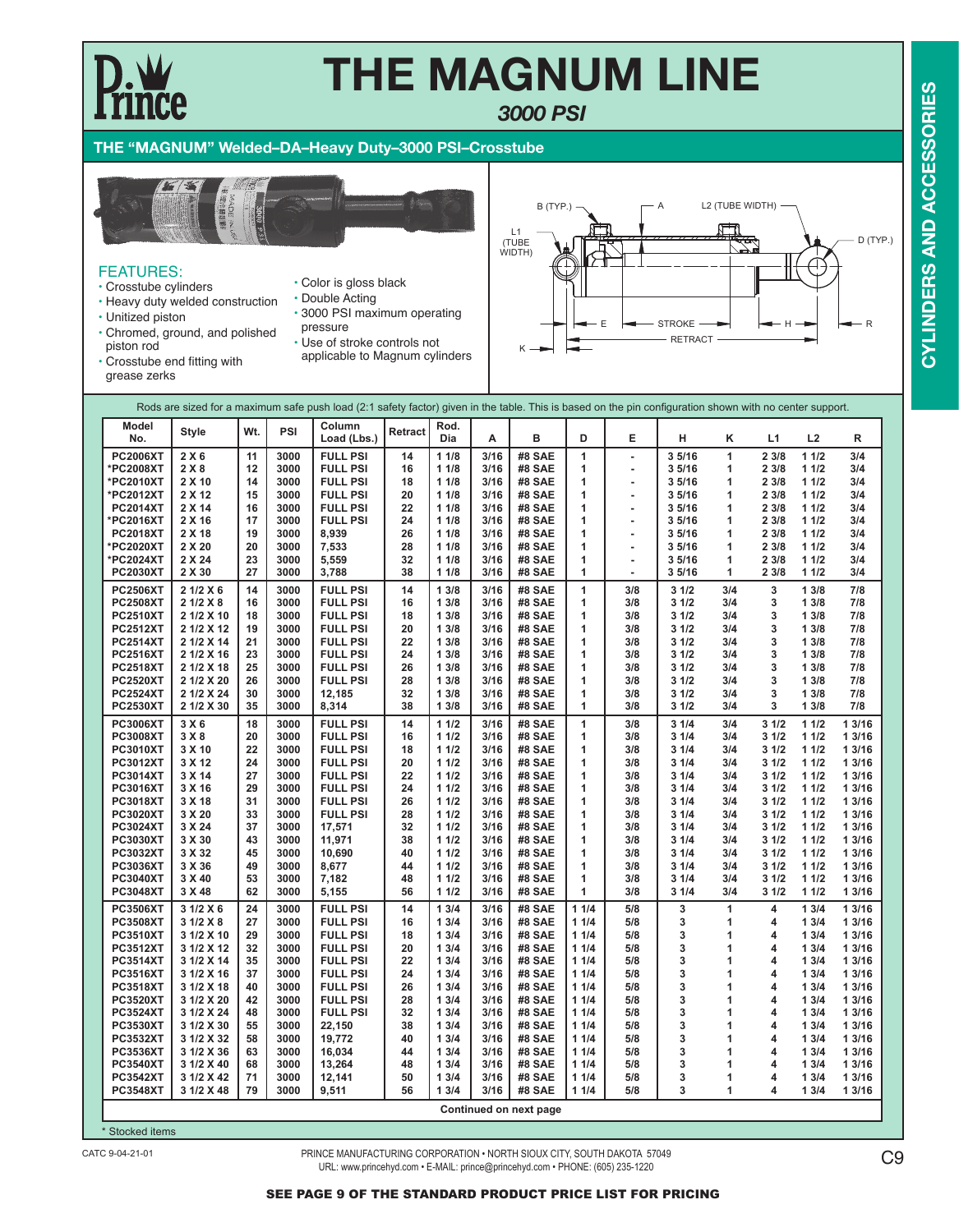### **THE "MAGNUM" Welded–DA–Heavy Duty–3000 PSI–Crosstube**



#### FEATURES:

- Crosstube cylinders
- Heavy duty welded construction
- Unitized piston
- Chromed, ground, and polished piston rod
- Color is gloss black • Double Acting
- 3000 PSI maximum operating
- pressure • Use of stroke controls not
- applicable to Magnum cylinders



• Crosstube end fitting with grease zerks

| groupe zorno    |              |     |      |                                                                                                                                                          |         |             |      |        |              |                          |       |              |       |      |        |
|-----------------|--------------|-----|------|----------------------------------------------------------------------------------------------------------------------------------------------------------|---------|-------------|------|--------|--------------|--------------------------|-------|--------------|-------|------|--------|
|                 |              |     |      | Rods are sized for a maximum safe push load (2:1 safety factor) given in the table. This is based on the pin configuration shown with no center support. |         |             |      |        |              |                          |       |              |       |      |        |
| Model<br>No.    | <b>Style</b> | Wt. | PSI  | Column<br>Load (Lbs.)                                                                                                                                    | Retract | Rod.<br>Dia | Α    | в      | D            | E                        | н     | κ            | L1    | L2   | R      |
| <b>PC2006XT</b> | 2 X 6        | 11  | 3000 | <b>FULL PSI</b>                                                                                                                                          | 14      | 11/8        | 3/16 | #8 SAE | $\mathbf{1}$ | ä,                       | 35/16 | $\mathbf{1}$ | 2 3/8 | 11/2 | 3/4    |
| *PC2008XT       | 2X8          | 12  | 3000 | <b>FULL PSI</b>                                                                                                                                          | 16      | 11/8        | 3/16 | #8 SAE | 1            | ×,                       | 35/16 | $\mathbf{1}$ | 2 3/8 | 11/2 | 3/4    |
| *PC2010XT       | 2 X 10       | 14  | 3000 | <b>FULL PSI</b>                                                                                                                                          | 18      | 11/8        | 3/16 | #8 SAE | 1            | $\overline{\phantom{a}}$ | 35/16 | 1            | 2 3/8 | 11/2 | 3/4    |
| *PC2012XT       | 2 X 12       | 15  | 3000 | <b>FULL PSI</b>                                                                                                                                          | 20      | 11/8        | 3/16 | #8 SAE | $\mathbf{1}$ | ×,                       | 35/16 | 1            | 2 3/8 | 11/2 | 3/4    |
| <b>PC2014XT</b> | 2 X 14       | 16  | 3000 | <b>FULL PSI</b>                                                                                                                                          | 22      | 11/8        | 3/16 | #8 SAE | 1            | $\overline{\phantom{a}}$ | 35/16 | 1            | 2 3/8 | 11/2 | 3/4    |
| *PC2016XT       | 2 X 16       | 17  | 3000 | <b>FULL PSI</b>                                                                                                                                          | 24      | 11/8        | 3/16 | #8 SAE | 1            | $\blacksquare$           | 35/16 | 1            | 2 3/8 | 11/2 | 3/4    |
| <b>PC2018XT</b> | 2 X 18       | 19  | 3000 | 8.939                                                                                                                                                    | 26      | 11/8        | 3/16 | #8 SAE | 1            | $\tilde{\phantom{a}}$    | 35/16 | 1            | 2 3/8 | 11/2 | 3/4    |
| *PC2020XT       | 2 X 20       | 20  | 3000 | 7,533                                                                                                                                                    | 28      | 11/8        | 3/16 | #8 SAE | $\mathbf{1}$ | $\blacksquare$           | 35/16 | 1            | 2 3/8 | 11/2 | 3/4    |
| *PC2024XT       | 2 X 24       | 23  | 3000 | 5,559                                                                                                                                                    | 32      | 11/8        | 3/16 | #8 SAE | $\mathbf{1}$ | $\blacksquare$           | 35/16 | $\mathbf{1}$ | 2 3/8 | 11/2 | 3/4    |
| <b>PC2030XT</b> | 2 X 30       | 27  | 3000 | 3,788                                                                                                                                                    | 38      | 11/8        | 3/16 | #8 SAE | 1            | $\sim$                   | 35/16 | 1            | 2 3/8 | 11/2 | 3/4    |
| <b>PC2506XT</b> | 2 1/2 X 6    | 14  | 3000 | <b>FULL PSI</b>                                                                                                                                          | 14      | 13/8        | 3/16 | #8 SAE | $\mathbf{1}$ | 3/8                      | 31/2  | 3/4          | 3     | 13/8 | 7/8    |
| <b>PC2508XT</b> | 2 1/2 X 8    | 16  | 3000 | <b>FULL PSI</b>                                                                                                                                          | 16      | 13/8        | 3/16 | #8 SAE | 1            | 3/8                      | 31/2  | 3/4          | 3     | 13/8 | 7/8    |
| <b>PC2510XT</b> | 2 1/2 X 10   | 18  | 3000 | <b>FULL PSI</b>                                                                                                                                          | 18      | 13/8        | 3/16 | #8 SAE | 1            | 3/8                      | 31/2  | 3/4          | 3     | 13/8 | 7/8    |
| <b>PC2512XT</b> | 2 1/2 X 12   | 19  | 3000 | <b>FULL PSI</b>                                                                                                                                          | 20      | 13/8        | 3/16 | #8 SAE | 1            | 3/8                      | 31/2  | 3/4          | 3     | 13/8 | 7/8    |
| <b>PC2514XT</b> | 2 1/2 X 14   | 21  | 3000 | <b>FULL PSI</b>                                                                                                                                          | 22      | 13/8        | 3/16 | #8 SAE | $\mathbf{1}$ | 3/8                      | 31/2  | 3/4          | 3     | 13/8 | 7/8    |
| <b>PC2516XT</b> | 2 1/2 X 16   | 23  | 3000 | <b>FULL PSI</b>                                                                                                                                          | 24      | 13/8        | 3/16 | #8 SAE | 1            | 3/8                      | 31/2  | 3/4          | 3     | 13/8 | 7/8    |
| <b>PC2518XT</b> | 2 1/2 X 18   | 25  | 3000 | <b>FULL PSI</b>                                                                                                                                          | 26      | 13/8        | 3/16 | #8 SAE | 1            | 3/8                      | 31/2  | 3/4          | 3     | 13/8 | 7/8    |
| <b>PC2520XT</b> | 2 1/2 X 20   | 26  | 3000 | <b>FULL PSI</b>                                                                                                                                          | 28      | 13/8        | 3/16 | #8 SAE | $\mathbf{1}$ | 3/8                      | 31/2  | 3/4          | 3     | 13/8 | 7/8    |
| <b>PC2524XT</b> | 2 1/2 X 24   | 30  | 3000 | 12,185                                                                                                                                                   | 32      | 13/8        | 3/16 | #8 SAE | 1            | 3/8                      | 31/2  | 3/4          | 3     | 13/8 | 7/8    |
| <b>PC2530XT</b> | 2 1/2 X 30   | 35  | 3000 | 8,314                                                                                                                                                    | 38      | 13/8        | 3/16 | #8 SAE | 1            | 3/8                      | 31/2  | 3/4          | 3     | 13/8 | 7/8    |
| <b>PC3006XT</b> | 3 X 6        | 18  | 3000 | <b>FULL PSI</b>                                                                                                                                          | 14      | 11/2        | 3/16 | #8 SAE | $\mathbf{1}$ | 3/8                      | 31/4  | 3/4          | 31/2  | 11/2 | 13/16  |
| <b>PC3008XT</b> | 3 X8         | 20  | 3000 | <b>FULL PSI</b>                                                                                                                                          | 16      | 11/2        | 3/16 | #8 SAE | 1            | 3/8                      | 31/4  | 3/4          | 31/2  | 11/2 | 1 3/16 |
| <b>PC3010XT</b> | 3 X 10       | 22  | 3000 | <b>FULL PSI</b>                                                                                                                                          | 18      | 11/2        | 3/16 | #8 SAE | 1            | 3/8                      | 31/4  | 3/4          | 31/2  | 11/2 | 1 3/16 |
| <b>PC3012XT</b> | 3 X 12       | 24  | 3000 | <b>FULL PSI</b>                                                                                                                                          | 20      | 11/2        | 3/16 | #8 SAE | 1            | 3/8                      | 31/4  | 3/4          | 31/2  | 11/2 | 13/16  |
| <b>PC3014XT</b> | 3 X 14       | 27  | 3000 | <b>FULL PSI</b>                                                                                                                                          | 22      | 11/2        | 3/16 | #8 SAE | 1            | 3/8                      | 31/4  | 3/4          | 31/2  | 11/2 | 1 3/16 |
| <b>PC3016XT</b> | 3 X 16       | 29  | 3000 | <b>FULL PSI</b>                                                                                                                                          | 24      | 11/2        | 3/16 | #8 SAE | 1            | 3/8                      | 31/4  | 3/4          | 31/2  | 11/2 | 1 3/16 |
| <b>PC3018XT</b> | 3 X 18       | 31  | 3000 | <b>FULL PSI</b>                                                                                                                                          | 26      | 11/2        | 3/16 | #8 SAE | 1            | 3/8                      | 31/4  | 3/4          | 31/2  | 11/2 | 1 3/16 |
| <b>PC3020XT</b> | 3 X 20       | 33  | 3000 | <b>FULL PSI</b>                                                                                                                                          | 28      | 11/2        | 3/16 | #8 SAE | 1            | 3/8                      | 31/4  | 3/4          | 31/2  | 11/2 | 1 3/16 |
| <b>PC3024XT</b> | 3 X 24       | 37  | 3000 | 17,571                                                                                                                                                   | 32      | 11/2        | 3/16 | #8 SAE | 1            | 3/8                      | 31/4  | 3/4          | 31/2  | 11/2 | 1 3/16 |
| <b>PC3030XT</b> | 3 X 30       | 43  | 3000 | 11,971                                                                                                                                                   | 38      | 11/2        | 3/16 | #8 SAE | 1            | 3/8                      | 31/4  | 3/4          | 31/2  | 11/2 | 13/16  |
| <b>PC3032XT</b> | 3 X 32       | 45  | 3000 | 10,690                                                                                                                                                   | 40      | 11/2        | 3/16 | #8 SAE | 1            | 3/8                      | 31/4  | 3/4          | 31/2  | 11/2 | 1 3/16 |
| <b>PC3036XT</b> | 3 X 36       | 49  | 3000 | 8,677                                                                                                                                                    | 44      | 11/2        | 3/16 | #8 SAE | 1            | 3/8                      | 31/4  | 3/4          | 31/2  | 11/2 | 1 3/16 |
| <b>PC3040XT</b> | 3 X 40       | 53  | 3000 | 7,182                                                                                                                                                    | 48      | 11/2        | 3/16 | #8 SAE | 1            | 3/8                      | 31/4  | 3/4          | 31/2  | 11/2 | 1 3/16 |
| <b>PC3048XT</b> | 3 X 48       | 62  | 3000 | 5,155                                                                                                                                                    | 56      | 11/2        | 3/16 | #8 SAE | 1            | 3/8                      | 31/4  | 3/4          | 31/2  | 11/2 | 1 3/16 |
| <b>PC3506XT</b> | 3 1/2 X 6    | 24  | 3000 | <b>FULL PSI</b>                                                                                                                                          | 14      | 13/4        | 3/16 | #8 SAE | 11/4         | 5/8                      | 3     | 1            | 4     | 13/4 | 13/16  |
| <b>PC3508XT</b> | 3 1/2 X 8    | 27  | 3000 | <b>FULL PSI</b>                                                                                                                                          | 16      | 13/4        | 3/16 | #8 SAE | 11/4         | 5/8                      | 3     | $\mathbf{1}$ | 4     | 13/4 | 1 3/16 |
| <b>PC3510XT</b> | 3 1/2 X 10   | 29  | 3000 | <b>FULL PSI</b>                                                                                                                                          | 18      | 13/4        | 3/16 | #8 SAE | 11/4         | 5/8                      | 3     | $\mathbf{1}$ | 4     | 13/4 | 13/16  |
| <b>PC3512XT</b> | 3 1/2 X 12   | 32  | 3000 | <b>FULL PSI</b>                                                                                                                                          | 20      | 13/4        | 3/16 | #8 SAE | 11/4         | 5/8                      | 3     | 1            | 4     | 13/4 | 1 3/16 |
| <b>PC3514XT</b> | 3 1/2 X 14   | 35  | 3000 | <b>FULL PSI</b>                                                                                                                                          | 22      | 13/4        | 3/16 | #8 SAE | 11/4         | 5/8                      | 3     | 1            | 4     | 13/4 | 1 3/16 |
| <b>PC3516XT</b> | 3 1/2 X 16   | 37  | 3000 | <b>FULL PSI</b>                                                                                                                                          | 24      | 13/4        | 3/16 | #8 SAE | 11/4         | 5/8                      | 3     | 1            | 4     | 13/4 | 1 3/16 |
| <b>PC3518XT</b> | 3 1/2 X 18   | 40  | 3000 | <b>FULL PSI</b>                                                                                                                                          | 26      | 13/4        | 3/16 | #8 SAE | 11/4         | 5/8                      | 3     | 1            | 4     | 13/4 | 1 3/16 |
| <b>PC3520XT</b> | 3 1/2 X 20   | 42  | 3000 | <b>FULL PSI</b>                                                                                                                                          | 28      | 13/4        | 3/16 | #8 SAE | 11/4         | 5/8                      | 3     | 1            | 4     | 13/4 | 1 3/16 |
| <b>PC3524XT</b> | 3 1/2 X 24   | 48  | 3000 | <b>FULL PSI</b>                                                                                                                                          | 32      | 13/4        | 3/16 | #8 SAE | 11/4         | 5/8                      | 3     | 1            | 4     | 13/4 | 1 3/16 |
| <b>PC3530XT</b> | 3 1/2 X 30   | 55  | 3000 | 22,150                                                                                                                                                   | 38      | 13/4        | 3/16 | #8 SAE | 11/4         | 5/8                      | 3     | 1            | 4     | 13/4 | 13/16  |
| <b>PC3532XT</b> | 3 1/2 X 32   | 58  | 3000 | 19,772                                                                                                                                                   | 40      | 13/4        | 3/16 | #8 SAE | 11/4         | 5/8                      | 3     | 1            | 4     | 13/4 | 1 3/16 |
| <b>PC3536XT</b> | 3 1/2 X 36   | 63  | 3000 | 16,034                                                                                                                                                   | 44      | 13/4        | 3/16 | #8 SAE | 11/4         | 5/8                      | 3     | 1            | 4     | 13/4 | 1 3/16 |
| <b>PC3540XT</b> | 3 1/2 X 40   | 68  | 3000 | 13,264                                                                                                                                                   | 48      | 13/4        | 3/16 | #8 SAE | 11/4         | 5/8                      | 3     | 1            | 4     | 13/4 | 13/16  |

*3000 PSI*

\* Stocked items

#### PRINCE MANUFACTURING CORPORATION • NORTH SIOUX CITY, SOUTH DAKOTA 57049 CATC 9-04-21-01 PRINCE MANUFACTURING CORPORATION • NORTH SIOUX CITY, SOUTH DAKOTA 57049<br>URL: www.princehyd.com • E-MAIL: prince@princehyd.com • PHONE: (605) 235-1220

**PC3542XT 3 1/2 X 42 71 3000 12,141 50 1 3/4 3/16 #8 SAE 1 1/4 5/8 3 1 4 1 3/4 1 3/16 PC3548XT 3 1/2 X 48 79 3000 9,511 56 1 3/4 3/16 #8 SAE 1 1/4 5/8 3 1 4 1 3/4 1 3/16 Continued on next page**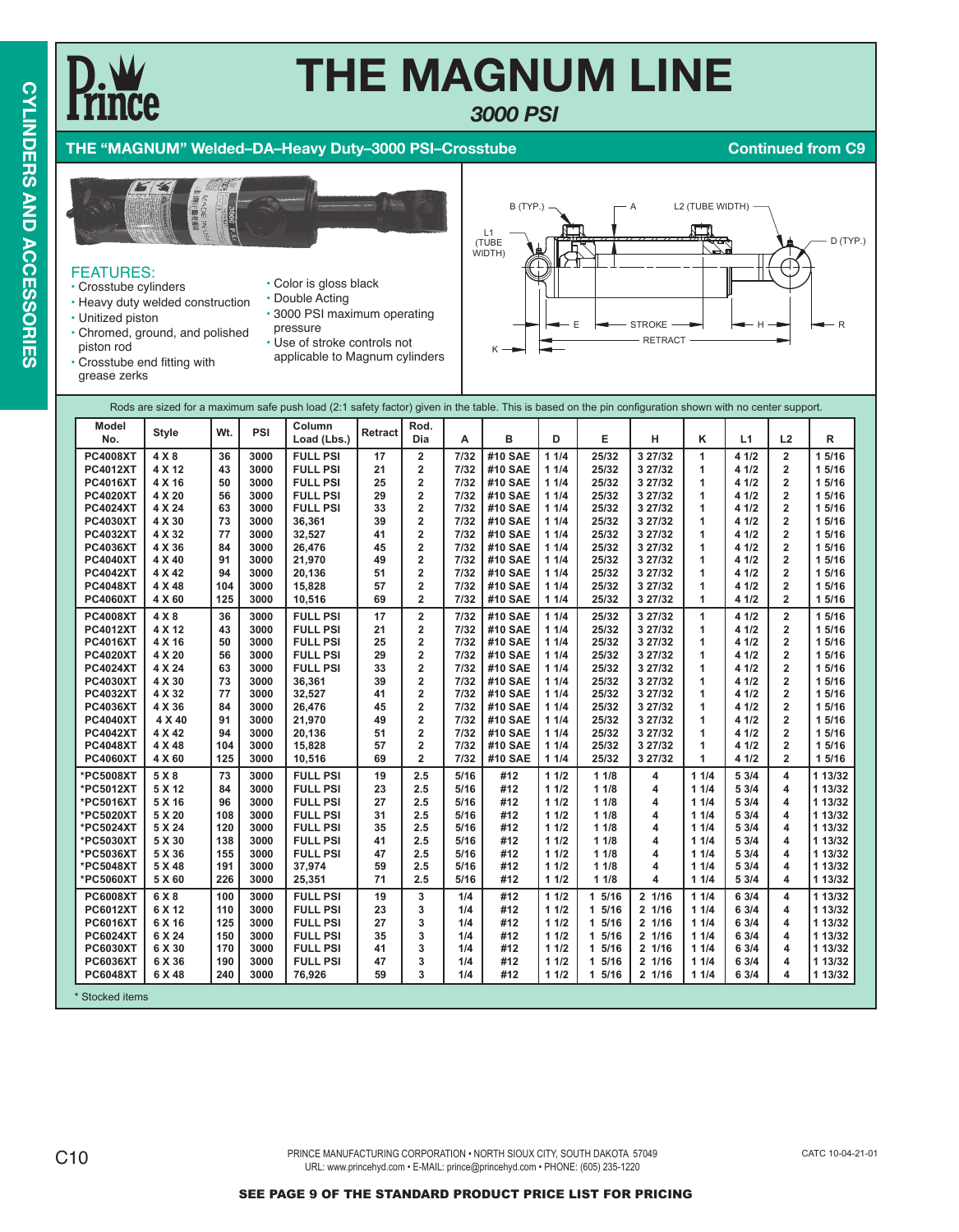*3000 PSI*

### **THE "MAGNUM" Welded–DA–Heavy Duty–3000 PSI–Crosstube Continued from C9**



### FEATURES:

- Crosstube cylinders
- Heavy duty welded construction
- Unitized piston
	-
- Color is gloss black • Double Acting • 3000 PSI maximum operating
- Chromed, ground, and polished piston rod
	- pressure
		- applicable to Magnum cylinders



• Crosstube end fitting with grease zerks

| • Use of stroke controls not |  |                              |
|------------------------------|--|------------------------------|
|                              |  | applicable to Magnum cylinde |
|                              |  |                              |

|                            |                                                                                                                                                                                                                                                                                                                                                                   |     |      | Rods are sized for a maximum safe push load (2:1 safety factor) given in the table. This is based on the pin configuration shown with no center support. |         |                         |      |         |      |       |         |      |       |                         |         |
|----------------------------|-------------------------------------------------------------------------------------------------------------------------------------------------------------------------------------------------------------------------------------------------------------------------------------------------------------------------------------------------------------------|-----|------|----------------------------------------------------------------------------------------------------------------------------------------------------------|---------|-------------------------|------|---------|------|-------|---------|------|-------|-------------------------|---------|
| Model<br>No.               | <b>Style</b>                                                                                                                                                                                                                                                                                                                                                      | Wt. | PSI  | Column<br>Load (Lbs.)                                                                                                                                    | Retract | Rod.<br>Dia             | A    | в       | D    | E     | н       | κ    | L1    | L2                      | R       |
| <b>PC4008XT</b>            | 4 X 8                                                                                                                                                                                                                                                                                                                                                             | 36  | 3000 | <b>FULL PSI</b>                                                                                                                                          | 17      | $\mathbf 2$             | 7/32 | #10 SAE | 11/4 | 25/32 | 3 27/32 | 1    | 4 1/2 | $\overline{\mathbf{2}}$ | 1 5/16  |
| <b>PC4012XT</b>            | 4 X 12                                                                                                                                                                                                                                                                                                                                                            | 43  | 3000 | <b>FULL PSI</b>                                                                                                                                          | 21      | $\overline{2}$          | 7/32 | #10 SAE | 11/4 | 25/32 | 3 27/32 | 1    | 4 1/2 | $\overline{\mathbf{2}}$ | 15/16   |
| <b>PC4016XT</b>            | 4 X 16                                                                                                                                                                                                                                                                                                                                                            | 50  | 3000 | <b>FULL PSI</b>                                                                                                                                          | 25      | $\overline{\mathbf{2}}$ | 7/32 | #10 SAE | 11/4 | 25/32 | 3 27/32 | 1    | 4 1/2 | $\mathbf 2$             | 1 5/16  |
| <b>PC4020XT</b>            | 4 X 20                                                                                                                                                                                                                                                                                                                                                            | 56  | 3000 | <b>FULL PSI</b>                                                                                                                                          | 29      | 2                       | 7/32 | #10 SAE | 11/4 | 25/32 | 3 27/32 | 1    | 4 1/2 | $\overline{\mathbf{2}}$ | 15/16   |
| <b>PC4024XT</b>            | 4 X 24                                                                                                                                                                                                                                                                                                                                                            | 63  | 3000 | <b>FULL PSI</b>                                                                                                                                          | 33      | $\overline{\mathbf{2}}$ | 7/32 | #10 SAE | 11/4 | 25/32 | 3 27/32 | 1    | 4 1/2 | $\mathbf 2$             | 15/16   |
| <b>PC4030XT</b>            | 4 X 30                                                                                                                                                                                                                                                                                                                                                            | 73  | 3000 | 36,361                                                                                                                                                   | 39      | $\overline{\mathbf{2}}$ | 7/32 | #10 SAE | 11/4 | 25/32 | 3 27/32 | 1    | 4 1/2 | $\overline{2}$          | 1 5/16  |
| <b>PC4032XT</b>            | 4 X 32                                                                                                                                                                                                                                                                                                                                                            | 77  | 3000 | 32,527                                                                                                                                                   | 41      | $\overline{2}$          | 7/32 | #10 SAE | 11/4 | 25/32 | 3 27/32 | 1    | 4 1/2 | $\overline{2}$          | 1 5/16  |
| <b>PC4036XT</b>            | 4 X 36                                                                                                                                                                                                                                                                                                                                                            | 84  | 3000 | 26,476                                                                                                                                                   | 45      | $\overline{\mathbf{2}}$ | 7/32 | #10 SAE | 11/4 | 25/32 | 3 27/32 | 1    | 4 1/2 | $\overline{\mathbf{2}}$ | 1 5/16  |
| <b>PC4040XT</b>            | 4 X 40                                                                                                                                                                                                                                                                                                                                                            | 91  | 3000 | 21,970                                                                                                                                                   | 49      | $\overline{\mathbf{2}}$ | 7/32 | #10 SAE | 11/4 | 25/32 | 3 27/32 | 1    | 4 1/2 | $\overline{\mathbf{2}}$ | 1 5/16  |
| <b>PC4042XT</b>            | 4 X 42                                                                                                                                                                                                                                                                                                                                                            | 94  | 3000 | 20,136                                                                                                                                                   | 51      | $\overline{\mathbf{2}}$ | 7/32 | #10 SAE | 11/4 | 25/32 | 3 27/32 | 1    | 4 1/2 | $\overline{2}$          | 15/16   |
| <b>PC4048XT</b>            | 4 X 48                                                                                                                                                                                                                                                                                                                                                            | 104 | 3000 | 15,828                                                                                                                                                   | 57      | $\overline{\mathbf{2}}$ | 7/32 | #10 SAE | 11/4 | 25/32 | 3 27/32 | 1    | 4 1/2 | $\overline{2}$          | 1 5/16  |
| <b>PC4060XT</b>            | 4 X 60                                                                                                                                                                                                                                                                                                                                                            | 125 | 3000 | 10,516                                                                                                                                                   | 69      | 2                       | 7/32 | #10 SAE | 11/4 | 25/32 | 3 27/32 | 1    | 4 1/2 | $\overline{2}$          | 15/16   |
| <b>PC4008XT</b>            | $\overline{\mathbf{2}}$<br>$\overline{\mathbf{2}}$<br>4 X 8<br>#10 SAE<br>1<br>4 1/2<br>36<br>3000<br><b>FULL PSI</b><br>17<br>7/32<br>11/4<br>25/32<br>3 27/32<br>1 5/16<br>$\overline{\mathbf{2}}$<br><b>PC4012XT</b><br>4 X 12<br>43<br>3000<br><b>FULL PSI</b><br>21<br>7/32<br>#10 SAE<br>11/4<br>25/32<br>3 27/32<br>4 1/2<br>$\overline{2}$<br>1 5/16<br>1 |     |      |                                                                                                                                                          |         |                         |      |         |      |       |         |      |       |                         |         |
|                            |                                                                                                                                                                                                                                                                                                                                                                   |     |      |                                                                                                                                                          |         |                         |      |         |      |       |         |      |       |                         |         |
| <b>PC4016XT</b>            | 4 X 16                                                                                                                                                                                                                                                                                                                                                            | 50  | 3000 | <b>FULL PSI</b>                                                                                                                                          | 25      | 2                       | 7/32 | #10 SAE | 11/4 | 25/32 | 3 27/32 | 1    | 4 1/2 | $\overline{2}$          | 1 5/16  |
| <b>PC4020XT</b>            | 4 X 20                                                                                                                                                                                                                                                                                                                                                            | 56  | 3000 | <b>FULL PSI</b>                                                                                                                                          | 29      | $\overline{2}$          | 7/32 | #10 SAE | 11/4 | 25/32 | 3 27/32 | 1    | 4 1/2 | $\overline{2}$          | 1 5/16  |
| <b>PC4024XT</b>            | 4 X 24                                                                                                                                                                                                                                                                                                                                                            | 63  | 3000 | <b>FULL PSI</b>                                                                                                                                          | 33      | $\overline{\mathbf{2}}$ | 7/32 | #10 SAE | 11/4 | 25/32 | 3 27/32 | 1    | 4 1/2 | $\overline{2}$          | 15/16   |
| <b>PC4030XT</b>            | 4 X 30                                                                                                                                                                                                                                                                                                                                                            | 73  | 3000 | 36,361                                                                                                                                                   | 39      | $\overline{\mathbf{2}}$ | 7/32 | #10 SAE | 11/4 | 25/32 | 3 27/32 | 1    | 4 1/2 | $\overline{\mathbf{2}}$ | 1 5/16  |
| <b>PC4032XT</b>            | 4 X 32                                                                                                                                                                                                                                                                                                                                                            | 77  | 3000 | 32,527                                                                                                                                                   | 41      | $\overline{\mathbf{2}}$ | 7/32 | #10 SAE | 11/4 | 25/32 | 3 27/32 | 1    | 4 1/2 | $\overline{2}$          | 1 5/16  |
| <b>PC4036XT</b>            | 4 X 36                                                                                                                                                                                                                                                                                                                                                            | 84  | 3000 | 26,476                                                                                                                                                   | 45      | $\overline{\mathbf{2}}$ | 7/32 | #10 SAE | 11/4 | 25/32 | 3 27/32 | 1    | 4 1/2 | $\overline{2}$          | 1 5/16  |
| <b>PC4040XT</b>            | 4 X 40                                                                                                                                                                                                                                                                                                                                                            | 91  | 3000 | 21,970                                                                                                                                                   | 49      | 2                       | 7/32 | #10 SAE | 11/4 | 25/32 | 3 27/32 | 1    | 4 1/2 | $\overline{\mathbf{2}}$ | 1 5/16  |
| <b>PC4042XT</b>            | 4 X 42                                                                                                                                                                                                                                                                                                                                                            | 94  | 3000 | 20,136                                                                                                                                                   | 51      | $\overline{\mathbf{2}}$ | 7/32 | #10 SAE | 11/4 | 25/32 | 3 27/32 | 1    | 4 1/2 | $\overline{2}$          | 1 5/16  |
| <b>PC4048XT</b>            | 4 X 48                                                                                                                                                                                                                                                                                                                                                            | 104 | 3000 | 15,828                                                                                                                                                   | 57      | $\overline{\mathbf{2}}$ | 7/32 | #10 SAE | 11/4 | 25/32 | 3 27/32 | 1    | 4 1/2 | $\overline{2}$          | 15/16   |
| <b>PC4060XT</b>            | 4 X 60                                                                                                                                                                                                                                                                                                                                                            | 125 | 3000 | 10,516                                                                                                                                                   | 69      | $\overline{\mathbf{2}}$ | 7/32 | #10 SAE | 11/4 | 25/32 | 3 27/32 | 1    | 4 1/2 | $\overline{2}$          | 1 5/16  |
| *PC5008XT                  | 5 X 8                                                                                                                                                                                                                                                                                                                                                             | 73  | 3000 | <b>FULL PSI</b>                                                                                                                                          | 19      | 2.5                     | 5/16 | #12     | 11/2 | 11/8  | 4       | 11/4 | 53/4  | 4                       | 1 13/32 |
| *PC5012XT                  | 5 X 12                                                                                                                                                                                                                                                                                                                                                            | 84  | 3000 | <b>FULL PSI</b>                                                                                                                                          | 23      | 2.5                     | 5/16 | #12     | 11/2 | 11/8  | 4       | 11/4 | 5 3/4 | 4                       | 1 13/32 |
| *PC5016XT                  | 5 X 16                                                                                                                                                                                                                                                                                                                                                            | 96  | 3000 | <b>FULL PSI</b>                                                                                                                                          | 27      | 2.5                     | 5/16 | #12     | 11/2 | 11/8  | 4       | 11/4 | 5 3/4 | 4                       | 1 13/32 |
| *PC5020XT                  | 5 X 20                                                                                                                                                                                                                                                                                                                                                            | 108 | 3000 | <b>FULL PSI</b>                                                                                                                                          | 31      | 2.5                     | 5/16 | #12     | 11/2 | 11/8  | 4       | 11/4 | 5 3/4 | $\overline{\mathbf{4}}$ | 1 13/32 |
| *PC5024XT                  | 5 X 24                                                                                                                                                                                                                                                                                                                                                            | 120 | 3000 | <b>FULL PSI</b>                                                                                                                                          | 35      | 2.5                     | 5/16 | #12     | 11/2 | 11/8  | 4       | 11/4 | 5 3/4 | 4                       | 1 13/32 |
| *PC5030XT                  | 5 X 30                                                                                                                                                                                                                                                                                                                                                            | 138 | 3000 | <b>FULL PSI</b>                                                                                                                                          | 41      | 2.5                     | 5/16 | #12     | 11/2 | 11/8  | 4       | 11/4 | 5 3/4 | 4                       | 1 13/32 |
| *PC5036XT                  | 5 X 36                                                                                                                                                                                                                                                                                                                                                            | 155 | 3000 | <b>FULL PSI</b>                                                                                                                                          | 47      | 2.5                     | 5/16 | #12     | 11/2 | 11/8  | 4       | 11/4 | 5 3/4 | 4                       | 1 13/32 |
| *PC5048XT                  | 5 X 48                                                                                                                                                                                                                                                                                                                                                            | 191 | 3000 | 37,974                                                                                                                                                   | 59      | 2.5                     | 5/16 | #12     | 11/2 | 11/8  | 4       | 11/4 | 5 3/4 | 4                       | 1 13/32 |
| *PC5060XT                  | 5 X 60                                                                                                                                                                                                                                                                                                                                                            | 226 | 3000 | 25,351                                                                                                                                                   | 71      | 2.5                     | 5/16 | #12     | 11/2 | 11/8  | 4       | 11/4 | 5 3/4 | 4                       | 1 13/32 |
| <b>PC6008XT</b>            | 6 X 8                                                                                                                                                                                                                                                                                                                                                             | 100 | 3000 | <b>FULL PSI</b>                                                                                                                                          | 19      | 3                       | 1/4  | #12     | 11/2 | 15/16 | 2 1/16  | 11/4 | 63/4  | 4                       | 1 13/32 |
| <b>PC6012XT</b>            | 6 X 12                                                                                                                                                                                                                                                                                                                                                            | 110 | 3000 | <b>FULL PSI</b>                                                                                                                                          | 23      | 3                       | 1/4  | #12     | 11/2 | 15/16 | 2 1/16  | 11/4 | 6 3/4 | 4                       | 1 13/32 |
| <b>PC6016XT</b>            | 6 X 16                                                                                                                                                                                                                                                                                                                                                            | 125 | 3000 | <b>FULL PSI</b>                                                                                                                                          | 27      | 3                       | 1/4  | #12     | 11/2 | 15/16 | 2 1/16  | 11/4 | 63/4  | 4                       | 1 13/32 |
| <b>PC6024XT</b>            | 6 X 24                                                                                                                                                                                                                                                                                                                                                            | 150 | 3000 | <b>FULL PSI</b>                                                                                                                                          | 35      | 3                       | 1/4  | #12     | 11/2 | 15/16 | 2 1/16  | 11/4 | 63/4  | 4                       | 1 13/32 |
| <b>PC6030XT</b>            | 6 X 30                                                                                                                                                                                                                                                                                                                                                            | 170 | 3000 | <b>FULL PSI</b>                                                                                                                                          | 41      | 3                       | 1/4  | #12     | 11/2 | 15/16 | 2 1/16  | 11/4 | 63/4  | 4                       | 1 13/32 |
| <b>PC6036XT</b>            | 6 X 36                                                                                                                                                                                                                                                                                                                                                            | 190 | 3000 | <b>FULL PSI</b>                                                                                                                                          | 47      | 3                       | 1/4  | #12     | 11/2 | 15/16 | 2 1/16  | 11/4 | 6 3/4 | 4                       | 1 13/32 |
| <b>PC6048XT</b>            | 6 X 48                                                                                                                                                                                                                                                                                                                                                            | 240 | 3000 | 76,926                                                                                                                                                   | 59      | 3                       | 1/4  | #12     | 11/2 | 15/16 | 2 1/16  | 11/4 | 6 3/4 | 4                       | 1 13/32 |
|                            |                                                                                                                                                                                                                                                                                                                                                                   |     |      |                                                                                                                                                          |         |                         |      |         |      |       |         |      |       |                         |         |
| <sup>*</sup> Stocked items |                                                                                                                                                                                                                                                                                                                                                                   |     |      |                                                                                                                                                          |         |                         |      |         |      |       |         |      |       |                         |         |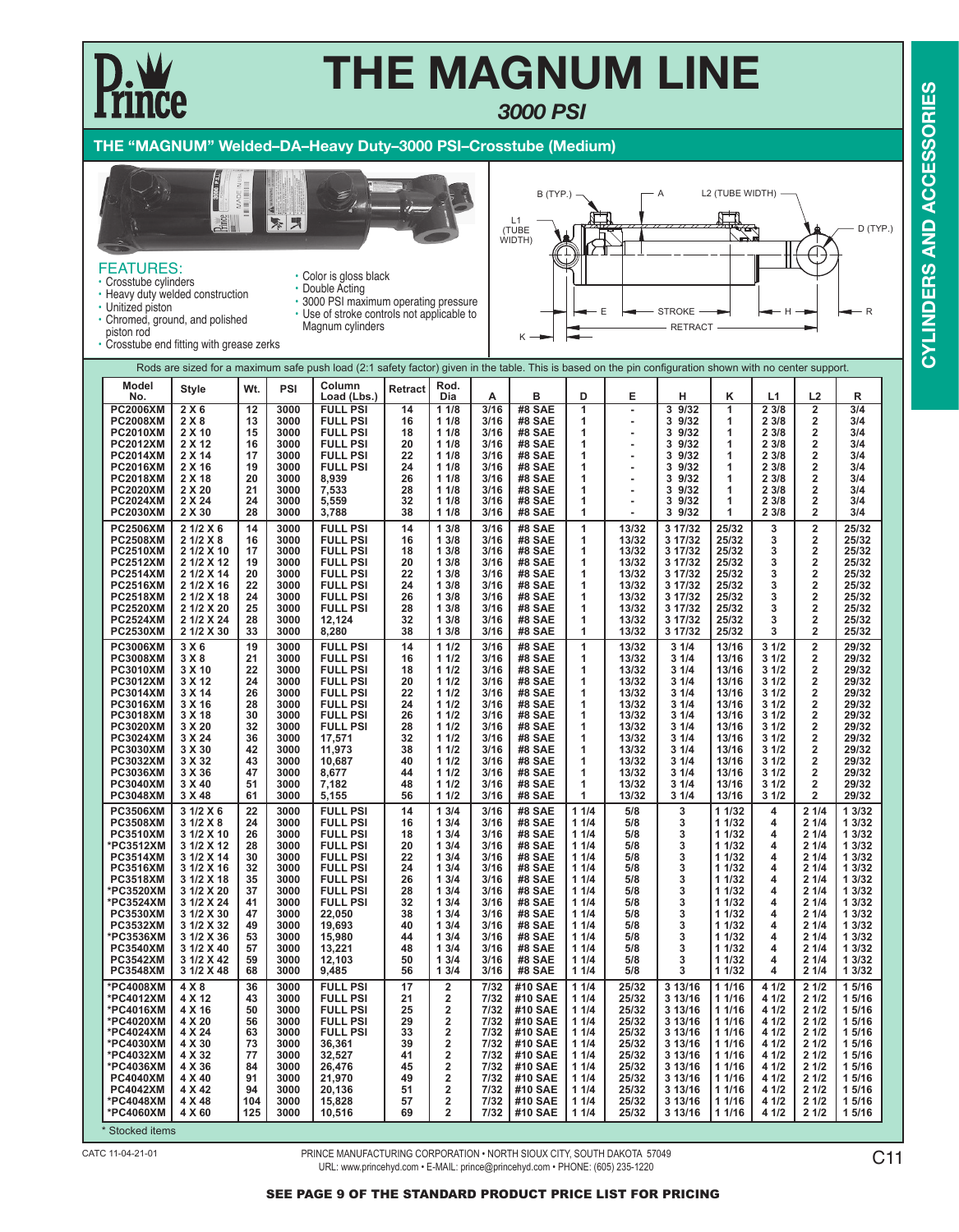### *3000 PSI*

### **THE "MAGNUM" Welded–DA–Heavy Duty–3000 PSI–Crosstube (Medium)**

• Color is gloss black



FEATURES:

- Crosstube cylinders • Heavy duty welded construction
- Unitized piston
- Double Acting
	- 3000 PSI maximum operating pressure • Use of stroke controls not applicable to

Magnum cylinders



- Chromed, ground, and polished piston rod
- 

| ,,,,,,,,,,,,                       | Crosstube end fitting with grease zerks |           |              |                                                                                                                                                          |          |                         |              |                                |                |                |                    |                  |                |                                                    |                  |
|------------------------------------|-----------------------------------------|-----------|--------------|----------------------------------------------------------------------------------------------------------------------------------------------------------|----------|-------------------------|--------------|--------------------------------|----------------|----------------|--------------------|------------------|----------------|----------------------------------------------------|------------------|
|                                    |                                         |           |              | Rods are sized for a maximum safe push load (2:1 safety factor) given in the table. This is based on the pin configuration shown with no center support. |          |                         |              |                                |                |                |                    |                  |                |                                                    |                  |
| Model<br>No.                       | <b>Style</b>                            | Wt.       | PSI          | Column<br>Load (Lbs.)                                                                                                                                    | Retract  | Rod.<br>Dia             | Α            | в                              | D              | E              | н                  | κ                | L1             | L2                                                 | R                |
| <b>PC2006XM</b>                    | 2X6                                     | 12        | 3000         | <b>FULL PSI</b>                                                                                                                                          | 14       | 11/8                    | 3/16         | #8 SAE                         | $\overline{1}$ | ÷              | 3 9/32             | 1                | 2 3/8          | 2                                                  | 3/4              |
| <b>PC2008XM</b><br><b>PC2010XM</b> | 2 X 8<br>2 X 10                         | 13<br>15  | 3000<br>3000 | <b>FULL PSI</b><br><b>FULL PSI</b>                                                                                                                       | 16<br>18 | 11/8<br>11/8            | 3/16<br>3/16 | <b>#8 SAE</b><br><b>#8 SAE</b> | 1<br>1         | ٠<br>ä,        | 3 9/32<br>3 9/32   | 1<br>1           | 2 3/8<br>2 3/8 | 2<br>2                                             | 3/4<br>3/4       |
| <b>PC2012XM</b>                    | 2 X 12                                  | 16        | 3000         | <b>FULL PSI</b>                                                                                                                                          | 20       | 11/8                    | 3/16         | #8 SAE                         | 1              | ٠              | 3 9/32             | 1                | 2 3/8          | $\overline{2}$                                     | 3/4              |
| <b>PC2014XM</b>                    | 2 X 14                                  | 17        | 3000         | <b>FULL PSI</b>                                                                                                                                          | 22       | 11/8                    | 3/16         | <b>#8 SAE</b>                  | 1              | ä,             | 3 9/32             | 1                | 2 3/8          | $\overline{\mathbf{2}}$                            | 3/4              |
| <b>PC2016XM</b>                    | 2 X 16                                  | 19        | 3000         | <b>FULL PSI</b>                                                                                                                                          | 24       | 11/8                    | 3/16         | <b>#8 SAE</b>                  | 1              | ٠              | 3 9/32             | 1                | 2 3/8          | $\overline{\mathbf{2}}$                            | 3/4              |
| <b>PC2018XM</b>                    | 2 X 18                                  | 20        | 3000         | 8,939                                                                                                                                                    | 26       | 11/8                    | 3/16         | <b>#8 SAE</b>                  | 1              |                | 3 9/32             | 1                | 2 3/8          | 2                                                  | 3/4              |
| <b>PC2020XM</b><br><b>PC2024XM</b> | 2 X 20<br>2 X 24                        | 21<br>24  | 3000<br>3000 | 7,533<br>5,559                                                                                                                                           | 28<br>32 | 11/8<br>11/8            | 3/16<br>3/16 | <b>#8 SAE</b><br><b>#8 SAE</b> | 1<br>1         |                | 3 9/32<br>3 9/32   | 1<br>1           | 2 3/8<br>2 3/8 | $\overline{2}$<br>$\overline{2}$                   | 3/4<br>3/4       |
| <b>PC2030XM</b>                    | 2 X 30                                  | 28        | 3000         | 3,788                                                                                                                                                    | 38       | 11/8                    | 3/16         | <b>#8 SAE</b>                  | 1              | ٠              | 3 9/32             | 1                | 2 3/8          | $\overline{2}$                                     | 3/4              |
| <b>PC2506XM</b>                    | 2 1/2 X 6                               | 14        | 3000         | <b>FULL PSI</b>                                                                                                                                          | 14       | 13/8                    | 3/16         | #8 SAE                         | 1              | 13/32          | 3 17/32            | 25/32            | 3              | $\overline{\mathbf{2}}$                            | 25/32            |
| <b>PC2508XM</b>                    | 2 1/2 X 8                               | 16        | 3000         | <b>FULL PSI</b>                                                                                                                                          | 16       | 13/8                    | 3/16         | #8 SAE                         | 1              | 13/32          | 3 17/32            | 25/32            | 3              | 2                                                  | 25/32            |
| <b>PC2510XM</b>                    | 2 1/2 X 10                              | 17        | 3000         | <b>FULL PSI</b>                                                                                                                                          | 18       | 13/8                    | 3/16         | <b>#8 SAE</b>                  | 1              | 13/32          | 3 17/32            | 25/32            | 3              | 2                                                  | 25/32            |
| <b>PC2512XM</b>                    | 2 1/2 X 12                              | 19<br>20  | 3000<br>3000 | <b>FULL PSI</b>                                                                                                                                          | 20<br>22 | 13/8<br>13/8            | 3/16<br>3/16 | #8 SAE                         | 1<br>1         | 13/32          | 3 17/32<br>3 17/32 | 25/32<br>25/32   | 3<br>3         | $\overline{\mathbf{2}}$<br>$\overline{\mathbf{2}}$ | 25/32<br>25/32   |
| <b>PC2514XM</b><br><b>PC2516XM</b> | 2 1/2 X 14<br>2 1/2 X 16                | 22        | 3000         | <b>FULL PSI</b><br><b>FULL PSI</b>                                                                                                                       | 24       | 13/8                    | 3/16         | <b>#8 SAE</b><br><b>#8 SAE</b> | 1              | 13/32<br>13/32 | 3 17/32            | 25/32            | 3              | $\overline{\mathbf{2}}$                            | 25/32            |
| <b>PC2518XM</b>                    | 2 1/2 X 18                              | 24        | 3000         | <b>FULL PSI</b>                                                                                                                                          | 26       | 13/8                    | 3/16         | <b>#8 SAE</b>                  | 1              | 13/32          | 3 17/32            | 25/32            | 3              | 2                                                  | 25/32            |
| <b>PC2520XM</b>                    | 2 1/2 X 20                              | 25        | 3000         | <b>FULL PSI</b>                                                                                                                                          | 28       | 13/8                    | 3/16         | #8 SAE                         | 1              | 13/32          | 3 17/32            | 25/32            | 3              | 2                                                  | 25/32            |
| <b>PC2524XM</b>                    | 2 1/2 X 24                              | 28        | 3000         | 12,124                                                                                                                                                   | 32       | 13/8                    | 3/16         | <b>#8 SAE</b>                  | 1              | 13/32          | 3 17/32            | 25/32            | 3              | $\overline{\mathbf{2}}$                            | 25/32            |
| <b>PC2530XM</b>                    | 2 1/2 X 30                              | 33        | 3000         | 8,280                                                                                                                                                    | 38       | 13/8                    | 3/16         | <b>#8 SAE</b>                  | 1              | 13/32          | 3 17/32            | 25/32            | 3              | 2                                                  | 25/32            |
| <b>PC3006XM</b><br><b>PC3008XM</b> | 3 X 6<br>3X8                            | 19<br>21  | 3000<br>3000 | <b>FULL PSI</b><br><b>FULL PSI</b>                                                                                                                       | 14<br>16 | 11/2<br>11/2            | 3/16<br>3/16 | #8 SAE<br>#8 SAE               | 1<br>1         | 13/32<br>13/32 | 31/4<br>31/4       | 13/16<br>13/16   | 31/2<br>31/2   | $\overline{\mathbf{2}}$<br>2                       | 29/32<br>29/32   |
| <b>PC3010XM</b>                    | 3 X 10                                  | 22        | 3000         | <b>FULL PSI</b>                                                                                                                                          | 18       | 11/2                    | 3/16         | <b>#8 SAE</b>                  | 1              | 13/32          | 31/4               | 13/16            | 31/2           | 2                                                  | 29/32            |
| <b>PC3012XM</b>                    | 3 X 12                                  | 24        | 3000         | <b>FULL PSI</b>                                                                                                                                          | 20       | 11/2                    | 3/16         | #8 SAE                         | 1              | 13/32          | 31/4               | 13/16            | 31/2           | $\overline{\mathbf{2}}$                            | 29/32            |
| <b>PC3014XM</b>                    | 3 X 14                                  | 26        | 3000         | <b>FULL PSI</b>                                                                                                                                          | 22       | 11/2                    | 3/16         | <b>#8 SAE</b>                  | 1              | 13/32          | 3 1/4              | 13/16            | 31/2           | 2                                                  | 29/32            |
| <b>PC3016XM</b>                    | 3 X 16                                  | 28        | 3000         | <b>FULL PSI</b>                                                                                                                                          | 24       | 11/2                    | 3/16         | <b>#8 SAE</b>                  | 1              | 13/32          | 31/4               | 13/16            | 31/2           | 2                                                  | 29/32            |
| <b>PC3018XM</b><br><b>PC3020XM</b> | 3 X 18<br>3 X 20                        | 30<br>32  | 3000<br>3000 | <b>FULL PSI</b><br><b>FULL PSI</b>                                                                                                                       | 26<br>28 | 11/2<br>11/2            | 3/16<br>3/16 | <b>#8 SAE</b><br><b>#8 SAE</b> | 1<br>1         | 13/32<br>13/32 | 31/4<br>31/4       | 13/16<br>13/16   | 31/2<br>31/2   | 2<br>2                                             | 29/32<br>29/32   |
| <b>PC3024XM</b>                    | 3 X 24                                  | 36        | 3000         | 17,571                                                                                                                                                   | 32       | 11/2                    | 3/16         | <b>#8 SAE</b>                  | 1              | 13/32          | 3 1/4              | 13/16            | 31/2           | 2                                                  | 29/32            |
| <b>PC3030XM</b>                    | 3 X 30                                  | 42        | 3000         | 11,973                                                                                                                                                   | 38       | 11/2                    | 3/16         | #8 SAE                         | 1              | 13/32          | 31/4               | 13/16            | 31/2           | 2                                                  | 29/32            |
| <b>PC3032XM</b>                    | 3 X 32                                  | 43        | 3000         | 10,687                                                                                                                                                   | 40       | 11/2                    | 3/16         | #8 SAE                         | 1              | 13/32          | 31/4               | 13/16            | 31/2           | 2<br>$\overline{2}$                                | 29/32<br>29/32   |
| <b>PC3036XM</b><br><b>PC3040XM</b> | 3 X 36<br>3 X 40                        | 47<br>51  | 3000<br>3000 | 8,677<br>7,182                                                                                                                                           | 44<br>48 | 11/2<br>11/2            | 3/16<br>3/16 | #8 SAE<br>#8 SAE               | 1<br>1         | 13/32<br>13/32 | 31/4<br>31/4       | 13/16<br>13/16   | 31/2<br>31/2   | 2                                                  | 29/32            |
| <b>PC3048XM</b>                    | 3 X 48                                  | 61        | 3000         | 5,155                                                                                                                                                    | 56       | 11/2                    | 3/16         | #8 SAE                         | 1              | 13/32          | 31/4               | 13/16            | 31/2           | $\overline{2}$                                     | 29/32            |
| <b>PC3506XM</b>                    | 3 1/2 X 6                               | 22        | 3000         | <b>FULL PSI</b>                                                                                                                                          | 14       | 13/4                    | 3/16         | #8 SAE                         | 11/4           | 5/8            | 3                  | 1 1/32           | 4              | 21/4                                               | 1 3/32           |
| <b>PC3508XM</b>                    | 3 1/2 X 8                               | 24        | 3000         | <b>FULL PSI</b>                                                                                                                                          | 16       | 13/4                    | 3/16         | #8 SAE                         | 11/4           | 5/8            | 3                  | 1 1/32           | 4              | 21/4                                               | 1 3/32           |
| <b>PC3510XM</b><br>*PC3512XM       | 3 1/2 X 10<br>3 1/2 X 12                | 26<br>28  | 3000<br>3000 | <b>FULL PSI</b><br><b>FULL PSI</b>                                                                                                                       | 18<br>20 | 13/4<br>13/4            | 3/16<br>3/16 | #8 SAE<br>#8 SAE               | 11/4<br>11/4   | 5/8<br>5/8     | 3<br>3             | 1 1/32<br>1 1/32 | 4<br>4         | 21/4<br>21/4                                       | 1 3/32<br>1 3/32 |
| <b>PC3514XM</b>                    | 3 1/2 X 14                              | 30        | 3000         | <b>FULL PSI</b>                                                                                                                                          | 22       | 13/4                    | 3/16         | #8 SAE                         | 11/4           | 5/8            | 3                  | 1 1/32           | 4              | 21/4                                               | 1 3/32           |
| <b>PC3516XM</b>                    | 3 1/2 X 16                              | 32        | 3000         | <b>FULL PSI</b>                                                                                                                                          | 24       | 13/4                    | 3/16         | #8 SAE                         | 11/4           | 5/8            | 3                  | 1 1/32           | 4              | 21/4                                               | 1 3/32           |
| <b>PC3518XM</b>                    | 3 1/2 X 18                              | 35        | 3000         | <b>FULL PSI</b>                                                                                                                                          | 26       | 13/4                    | 3/16         | #8 SAE                         | 11/4           | 5/8            | 3                  | 1 1/32           | 4              | 21/4                                               | 1 3/32           |
| *PC3520XM                          | 3 1/2 X 20                              | 37        | 3000         | <b>FULL PSI</b>                                                                                                                                          | 28       | 13/4                    | 3/16         | #8 SAE                         | 11/4           | 5/8            | 3                  | 1 1/32           | 4              | 21/4                                               | 1 3/32           |
| *PC3524XM<br><b>PC3530XM</b>       | 3 1/2 X 24<br>3 1/2 X 30                | 41<br>47  | 3000<br>3000 | <b>FULL PSI</b><br>22,050                                                                                                                                | 32<br>38 | 13/4<br>13/4            | 3/16<br>3/16 | #8 SAE<br>#8 SAE               | 11/4<br>11/4   | 5/8<br>5/8     | 3<br>3             | 1 1/32<br>1 1/32 | 4<br>4         | 21/4<br>21/4                                       | 1 3/32<br>1 3/32 |
| <b>PC3532XM</b>                    | 3 1/2 X 32                              | 49        | 3000         | 19,693                                                                                                                                                   | 40       | 13/4                    | 3/16         | #8 SAE                         | 11/4           | 5/8            | 3                  | 1 1/32           | 4              | 21/4                                               | 1 3/32           |
| *PC3536XM                          | 3 1/2 X 36                              | 53        | 3000         | 15,980                                                                                                                                                   | 44       | 13/4                    | 3/16         | #8 SAE                         | 11/4           | 5/8            | 3                  | 1 1/32           | 4              | 21/4                                               | 1 3/32           |
| <b>PC3540XM</b>                    | 3 1/2 X 40                              | 57        | 3000         | 13,221                                                                                                                                                   | 48       | 13/4                    | 3/16         | #8 SAE                         | 11/4           | 5/8            | 3                  | 1 1/32           | 4              | 21/4                                               | 1 3/32           |
| <b>PC3542XM</b><br><b>PC3548XM</b> | 3 1/2 X 42<br>3 1/2 X 48                | 59<br>68  | 3000<br>3000 | 12,103<br>9,485                                                                                                                                          | 50<br>56 | 13/4<br>13/4            | 3/16<br>3/16 | #8 SAE<br>#8 SAE               | 11/4<br>11/4   | 5/8<br>5/8     | 3<br>3             | 1 1/32<br>1 1/32 | 4<br>4         | 21/4<br>21/4                                       | 1 3/32<br>1 3/32 |
| *PC4008XM                          | 4 X 8                                   | 36        | 3000         | <b>FULL PSI</b>                                                                                                                                          | 17       | $\overline{\mathbf{2}}$ | 7/32         | #10 SAE                        | 11/4           | 25/32          | 3 13/16            | 1 1/16           | 4 1/2          | 21/2                                               | 15/16            |
| *PC4012XM                          | 4 X 12                                  | 43        | 3000         | <b>FULL PSI</b>                                                                                                                                          | 21       | 2                       | 7/32         | #10 SAE                        | 11/4           | 25/32          | 3 13/16            | 1 1/16           | 4 1/2          | 21/2                                               | 1 5/16           |
| *PC4016XM                          | 4 X 16                                  | 50        | 3000         | <b>FULL PSI</b>                                                                                                                                          | 25       | $\overline{2}$          | 7/32         | #10 SAE                        | 11/4           | 25/32          | 3 13/16            | 1 1/16           | 4 1/2          | 21/2                                               | 1 5/16           |
| *PC4020XM                          | 4 X 20                                  | 56        | 3000         | <b>FULL PSI</b>                                                                                                                                          | 29       | 2                       |              | 7/32   #10 SAE                 | 11/4           | 25/32          | 3 13/16            | 1 1/16           | 4 1/2          | 21/2                                               | 1 5/16           |
| *PC4024XM<br>*PC4030XM             | 4 X 24<br>4 X 30                        | 63<br>73  | 3000<br>3000 | <b>FULL PSI</b><br>36,361                                                                                                                                | 33<br>39 | 2<br>2                  | 7/32<br>7/32 | #10 SAE<br>#10 SAE             | 11/4<br>11/4   | 25/32<br>25/32 | 3 13/16<br>3 13/16 | 1 1/16<br>1 1/16 | 4 1/2<br>4 1/2 | 21/2<br>21/2                                       | 1 5/16<br>1 5/16 |
| *PC4032XM                          | 4 X 32                                  | 77        | 3000         | 32,527                                                                                                                                                   | 41       | $\overline{\mathbf{2}}$ | 7/32         | #10 SAE                        | 11/4           | 25/32          | 3 13/16            | 1 1/16           | 4 1/2          | 21/2                                               | 1 5/16           |
| *PC4036XM                          | 4 X 36                                  | 84        | 3000         | 26,476                                                                                                                                                   | 45       | $\overline{\mathbf{2}}$ | 7/32         | #10 SAE                        | 11/4           | 25/32          | 3 13/16            | 1 1/16           | 4 1/2          | 21/2                                               | 15/16            |
| <b>PC4040XM</b>                    | 4 X 40                                  | 91        | 3000         | 21,970                                                                                                                                                   | 49       | 2                       | 7/32         | #10 SAE                        | 11/4           | 25/32          | 3 13/16            | 1 1/16           | 4 1/2          | 21/2                                               | 1 5/16           |
| <b>PC4042XM</b><br>*PC4048XM       | 4 X 42<br>4 X 48                        | 94<br>104 | 3000<br>3000 | 20,136<br>15,828                                                                                                                                         | 51<br>57 | 2<br>2                  | 7/32<br>7/32 | #10 SAE<br>#10 SAE             | 11/4<br>11/4   | 25/32<br>25/32 | 3 13/16<br>3 13/16 | 1 1/16<br>1 1/16 | 4 1/2<br>4 1/2 | 21/2<br>21/2                                       | 1 5/16<br>1 5/16 |
| *PC4060XM                          | 4 X 60                                  | 125       | 3000         | 10,516                                                                                                                                                   | 69       | $\overline{\mathbf{2}}$ | 7/32         | #10 SAE                        | 11/4           | 25/32          | 3 13/16            | 1 1/16           | 4 1/2          | 21/2                                               | 1 5/16           |
| * Stocked items                    |                                         |           |              |                                                                                                                                                          |          |                         |              |                                |                |                |                    |                  |                |                                                    |                  |

**CYLINDERS AND ACCESSORIES CYLINDERS AND ACCESSORIES**

PRINCE MANUFACTURING CORPORATION • NORTH SIOUX CITY, SOUTH DAKOTA 57049 URL: www.princehyd.com • E-MAIL: prince@princehyd.com • PHONE: (605) 235-1220 CATC 11-04-21-01 C11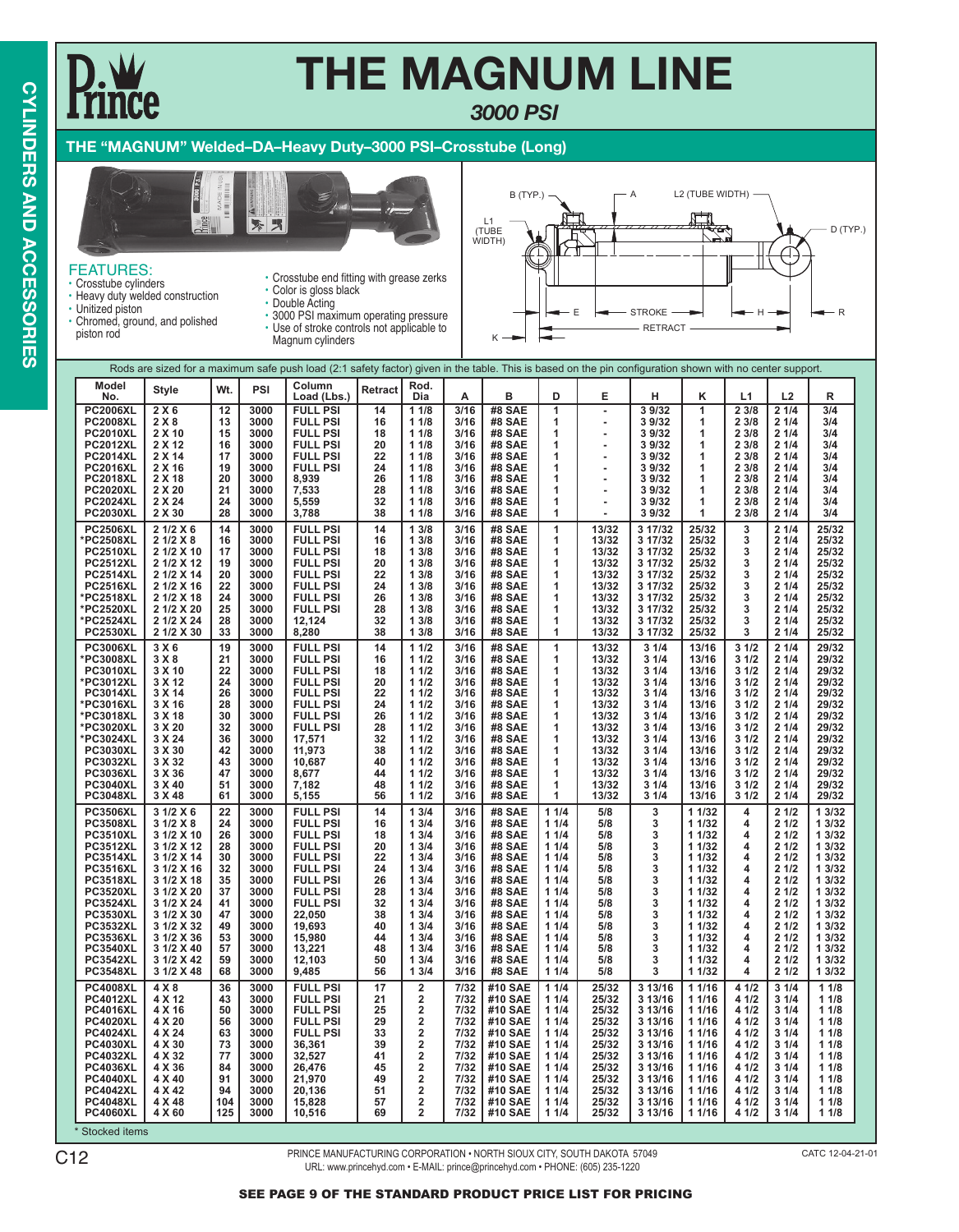### *3000 PSI*

### **THE "MAGNUM" Welded–DA–Heavy Duty–3000 PSI–Crosstube (Long)**



### FEATURES: • Crosstube cylinders

- 
- Heavy duty welded construction
- Unitized piston • Chromed, ground, and polished
- Crosstube end fitting with grease zerks • Color is gloss black
- 
- 3000 PSI maximum operating pressure • Use of stroke controls not applicable to



- piston rod
- Double Acting
- Magnum cylinders

| <b>Model</b><br>Column<br>Rod.<br>PSI<br>Wt.<br><b>Style</b><br><b>Retract</b><br>B<br>No.<br>Load (Lbs.)<br>Dia<br>D<br>Е<br>L1<br>L <sub>2</sub><br>А<br>н<br>κ<br>R<br><b>PC2006XL</b><br>2X6<br>12<br>3000<br><b>FULL PSI</b><br>14<br>11/8<br>3/16<br>#8 SAE<br>1<br>3 9/32<br>1<br>23/8<br>21/4<br>3/4<br>÷,<br>2X8<br><b>PC2008XL</b><br>3000<br><b>FULL PSI</b><br>11/8<br>3/16<br>#8 SAE<br>39/32<br>23/8<br>21/4<br>3/4<br>13<br>16<br>1<br>1<br>2 X 10<br>15<br>3000<br><b>FULL PSI</b><br>11/8<br>3/16<br>#8 SAE<br>39/32<br>23/8<br>21/4<br>3/4<br><b>PC2010XL</b><br>18<br>1<br>1<br><b>PC2012XL</b><br>3000<br>20<br>11/8<br>3/16<br>2 X 12<br>16<br><b>FULL PSI</b><br>#8 SAE<br>1<br>39/32<br>1<br>23/8<br>21/4<br>3/4<br>17<br>3000<br><b>FULL PSI</b><br>22<br>11/8<br>3/16<br><b>PC2014XL</b><br>2 X 14<br>#8 SAE<br>1<br>3 9/32<br>1<br>2 3/8<br>21/4<br>3/4<br><b>PC2016XL</b><br>2 X 16<br>19<br>3000<br><b>FULL PSI</b><br>24<br>11/8<br>3/16<br>#8 SAE<br>23/8<br>21/4<br>1<br>3 9/32<br>1<br>3/4<br><b>PC2018XL</b><br>2 X 18<br>20<br>3000<br>8,939<br>26<br>11/8<br>3/16<br>#8 SAE<br>23/8<br>21/4<br>3/4<br>1<br>3 9/32<br>1<br>21<br>28<br>3/16<br>21/4<br><b>PC2020XL</b><br>2 X 20<br>3000<br>7,533<br>11/8<br>#8 SAE<br>23/8<br>3/4<br>1<br>39/32<br>1<br><b>PC2024XL</b><br>2 X 24<br>24<br>3000<br>5,559<br>32<br>11/8<br>3/16<br>#8 SAE<br>3 9/32<br>23/8<br>21/4<br>3/4<br>1<br>1<br><b>PC2030XL</b><br>2 X 30<br>28<br>3000<br>38<br>11/8<br>3/16<br>#8 SAE<br>3 9/32<br>23/8<br>21/4<br>3/4<br>3,788<br>1<br>1<br>14<br>3/16<br><b>PC2506XL</b><br>2 1/2 X 6<br>3000<br><b>FULL PSI</b><br>14<br>13/8<br>#8 SAE<br>1<br>13/32<br>3 17/32<br>25/32<br>21/4<br>25/32<br>3<br>3000<br><b>FULL PSI</b><br>13/8<br>3/16<br>25/32<br>21/4<br>25/32<br>*PC2508XL<br>2 1/2 X 8<br>16<br>16<br>#8 SAE<br>1<br>13/32<br>3 17/32<br>3<br>2 1/2 X 10<br>3000<br><b>FULL PSI</b><br>13/8<br>3/16<br>#8 SAE<br>3 17/32<br>21/4<br>25/32<br><b>PC2510XL</b><br>17<br>18<br>1<br>13/32<br>25/32<br>3<br><b>PC2512XL</b><br>2 1/2 X 12<br>3000<br><b>FULL PSI</b><br>20<br>13/8<br>3/16<br>#8 SAE<br>13/32<br>25/32<br>21/4<br>25/32<br>19<br>1<br>3 17/32<br>3<br>22<br>21/4<br><b>PC2514XL</b><br>2 1/2 X 14<br>20<br>3000<br><b>FULL PSI</b><br>13/8<br>3/16<br><b>#8 SAE</b><br>13/32<br>25/32<br>25/32<br>1<br>3 17/32<br>3<br>2 1/2 X 16<br>22<br>3000<br><b>FULL PSI</b><br>24<br>13/8<br>3/16<br>#8 SAE<br>13/32<br>25/32<br>21/4<br>25/32<br><b>PC2516XL</b><br>1<br>3 17/32<br>3<br>2 1/2 X 18<br>24<br>3000<br><b>FULL PSI</b><br>26<br>13/8<br>3/16<br>25/32<br>21/4<br>25/32<br>*PC2518XL<br><b>#8 SAE</b><br>1<br>13/32<br>3 17/32<br>3<br>25<br>2 1/2 X 20<br>3000<br><b>FULL PSI</b><br>28<br>13/8<br>3/16<br>25/32<br>21/4<br>25/32<br>*PC2520XL<br>#8 SAE<br>1<br>13/32<br>3 17/32<br>3<br>*PC2524XL<br>2 1/2 X 24<br>28<br>3000<br>12,124<br>32<br>13/8<br>3/16<br>#8 SAE<br>13/32<br>3 17/32<br>25/32<br>21/4<br>25/32<br>1<br>3<br><b>PC2530XL</b><br>2 1/2 X 30<br>33<br>3000<br>8,280<br>38<br>13/8<br>3/16<br>#8 SAE<br>13/32<br>3 17/32<br>25/32<br>21/4<br>25/32<br>1<br>3<br><b>PC3006XL</b><br>3X6<br>19<br>3000<br><b>FULL PSI</b><br>14<br>11/2<br>3/16<br>#8 SAE<br>1<br>13/32<br>31/4<br>13/16<br>31/2<br>21/4<br>29/32<br>3 X8<br>21/4<br>21<br>3000<br><b>FULL PSI</b><br>16<br>11/2<br>3/16<br><b>#8 SAE</b><br>13/32<br>3 1/4<br>31/2<br>29/32<br>*PC3008XL<br>1<br>13/16<br>3 X 10<br>22<br>3000<br><b>FULL PSI</b><br>18<br>11/2<br>3/16<br>#8 SAE<br>13/32<br>31/4<br>13/16<br>31/2<br>21/4<br>29/32<br><b>PC3010XL</b><br>1<br>24<br>3000<br><b>FULL PSI</b><br>20<br>11/2<br>3/16<br>31/4<br>21/4<br>29/32<br>*PC3012XL<br>3 X 12<br><b>#8 SAE</b><br>1<br>13/32<br>13/16<br>31/2<br>26<br>3 X 14<br>3000<br><b>FULL PSI</b><br>22<br>11/2<br>3/16<br>31/4<br>21/4<br><b>PC3014XL</b><br>#8 SAE<br>1<br>13/32<br>13/16<br>31/2<br>29/32<br>*PC3016XL<br>3 X 16<br>28<br>3000<br><b>FULL PSI</b><br>24<br>11/2<br>3/16<br>#8 SAE<br>13/32<br>31/4<br>13/16<br>31/2<br>21/4<br>29/32<br>1<br>*PC3018XL<br>3 X 18<br>30<br>3000<br><b>FULL PSI</b><br>26<br>11/2<br>3/16<br>#8 SAE<br>13/32<br>31/4<br>13/16<br>31/2<br>21/4<br>29/32<br>1<br>3/16<br>21/4<br>3 X 20<br>32<br>3000<br><b>FULL PSI</b><br>28<br>11/2<br><b>#8 SAE</b><br>13/32<br>3 1/4<br>13/16<br>31/2<br>29/32<br>*PC3020XL<br>1<br>3 X 24<br>36<br>3000<br>17,571<br>32<br>11/2<br>3/16<br>#8 SAE<br>31/4<br>13/16<br>31/2<br>21/4<br>29/32<br>*PC3024XL<br>1<br>13/32<br>42<br>3000<br>38<br>11/2<br>3/16<br>31/2<br>21/4<br>29/32<br><b>PC3030XL</b><br>3 X 30<br>11,973<br><b>#8 SAE</b><br>1<br>13/32<br>3 1/4<br>13/16<br>43<br>3000<br>40<br>11/2<br>3/16<br>31/4<br>31/2<br>21/4<br>29/32<br><b>PC3032XL</b><br>3 X 32<br>10,687<br>#8 SAE<br>1<br>13/16<br>13/32<br><b>PC3036XL</b><br>3 X 36<br>47<br>3000<br>8.677<br>44<br>11/2<br>3/16<br>#8 SAE<br>1<br>13/32<br>31/4<br>13/16<br>31/2<br>21/4<br>29/32<br>3/16<br><b>PC3040XL</b><br>3 X 40<br>51<br>3000<br>7,182<br>48<br>11/2<br><b>#8 SAE</b><br>1<br>13/32<br>31/4<br>13/16<br>31/2<br>21/4<br>29/32<br>13/16<br><b>PC3048XL</b><br>3 X 48<br>61<br>3000<br>56<br>11/2<br>3/16<br><b>#8 SAE</b><br>13/32<br>31/4<br>31/2<br>21/4<br>29/32<br>5,155<br>1<br>22<br>3/16<br><b>PC3506XL</b><br>31/2 X6<br>3000<br><b>FULL PSI</b><br>14<br>13/4<br>#8 SAE<br>11/4<br>5/8<br>3<br>1 1/32<br>21/2<br>1 3/32<br>4<br>31/2 X8<br>24<br><b>FULL PSI</b><br>13/4<br>3/16<br>#8 SAE<br>5/8<br>3<br><b>PC3508XL</b><br>3000<br>16<br>11/4<br>1 1/32<br>4<br>21/2<br>1 3/32<br>26<br>13/4<br>3/16<br>#8 SAE<br>3<br><b>PC3510XL</b><br>3 1/2 X 10<br>3000<br><b>FULL PSI</b><br>18<br>11/4<br>5/8<br>1 1/32<br>4<br>21/2<br>1 3/32<br>28<br>3<br>3 1/2 X 12<br>3000<br><b>FULL PSI</b><br>20<br>13/4<br>3/16<br>#8 SAE<br>11/4<br>5/8<br>21/2<br><b>PC3512XL</b><br>1 1/32<br>4<br>1 3/32<br>30<br><b>PC3514XL</b><br>3 1/2 X 14<br>3000<br><b>FULL PSI</b><br>22<br>13/4<br>3/16<br>#8 SAE<br>11/4<br>5/8<br>3<br>1 1/32<br>4<br>21/2<br>1 3/32<br>3 1/2 X 16<br>32<br>13/4<br><b>PC3516XL</b><br>3000<br><b>FULL PSI</b><br>24<br>3/16<br><b>#8 SAE</b><br>11/4<br>5/8<br>3<br>1 1/32<br>4<br>21/2<br>1 3/32<br>3 1/2 X 18<br>35<br>3000<br><b>FULL PSI</b><br>26<br>13/4<br>3/16<br><b>#8 SAE</b><br>11/4<br>5/8<br>3<br>1 1/32<br>21/2<br>1 3/32<br><b>PC3518XL</b><br>4<br>3 1/2 X 20<br>37<br><b>FULL PSI</b><br>28<br>13/4<br>3/16<br>5/8<br><b>PC3520XL</b><br>3000<br>#8 SAE<br>11/4<br>3<br>1 1/32<br>4<br>21/2<br>1 3/32<br>3 1/2 X 24<br><b>FULL PSI</b><br>32<br>13/4<br>3/16<br>3<br><b>PC3524XL</b><br>41<br>3000<br><b>#8 SAE</b><br>11/4<br>5/8<br>1 1/32<br>4<br>21/2<br>1 3/32<br>47<br>3 1/2 X 30<br>3000<br>38<br>13/4<br>3/16<br>#8 SAE<br>11/4<br>5/8<br>3<br>1 1/32<br>21/2<br>1 3/32<br><b>PC3530XL</b><br>22,050<br>4<br>3/16<br>5/8<br>3<br><b>PC3532XL</b><br>3 1/2 X 32<br>49<br>3000<br>19.693<br>40<br>13/4<br>#8 SAE<br>11/4<br>1 1/32<br>4<br>21/2<br>1 3/32<br>3 1/2 X 36<br>13/4<br>3/16<br>#8 SAE<br><b>PC3536XL</b><br>53<br>3000<br>15,980<br>44<br>11/4<br>5/8<br>3<br>1 1/32<br>4<br>21/2<br>1 3/32<br>3 1/2 X 40<br>13/4<br>3/16<br>#8 SAE<br>21/2<br><b>PC3540XL</b><br>57<br>3000<br>13,221<br>48<br>11/4<br>5/8<br>3<br>1 1/32<br>1 3/32<br>4<br>3 1/2 X 42<br>13/4<br>3/16<br>#8 SAE<br>5/8<br>3<br>1 1/32<br>21/2<br>1 3/32<br><b>PC3542XL</b><br>59<br>3000<br>12,103<br>50<br>11/4<br>4<br>3 1/2 X 48<br>68<br>3000<br>13/4<br>3/16<br>#8 SAE<br>3<br>1 1/32<br>21/2<br><b>PC3548XL</b><br>9,485<br>56<br>11/4<br>5/8<br>4<br>1 3/32<br><b>PC4008XL</b><br>4 X 8<br>36<br><b>FULL PSI</b><br>17<br>$\overline{\mathbf{2}}$<br>7/32<br>#10 SAE<br>11/4<br>25/32<br>3 13/16<br>11/16<br>4 1/2<br>31/4<br>11/8<br>3000<br>2<br>4 X 12<br>43<br>3000<br><b>FULL PSI</b><br>21<br>7/32<br>#10 SAE<br>11/4<br>25/32<br>3 13/16<br>1 1/16<br>4 1/2<br>31/4<br><b>PC4012XL</b><br>11/8<br>$\overline{\mathbf{2}}$<br>7/32<br>1 1/16<br>31/4<br><b>PC4016XL</b><br>4 X 16<br>50<br>3000<br><b>FULL PSI</b><br>25<br>#10 SAE<br>11/4<br>25/32<br>3 13/16<br>4 1/2<br>11/8<br>4 X 20<br><b>FULL PSI</b><br>29<br>$\overline{\mathbf{2}}$<br>3 13/16<br><b>PC4020XL</b><br>56<br>3000<br>7/32<br>#10 SAE<br>11/4<br>25/32<br>1 1/16<br>4 1/2<br>31/4<br>11/8<br>4 X 24<br>$\overline{2}$<br>3 13/16<br>31/4<br><b>PC4024XL</b><br>3000<br><b>FULL PSI</b><br>33<br>7/32<br>#10 SAE<br>11/4<br>25/32<br>1 1/16<br>4 1/2<br>11/8<br>63<br>$\overline{2}$<br>4 X 30<br>39<br>7/32<br><b>PC4030XL</b><br>73<br>3000<br>36,361<br>#10 SAE<br>11/4<br>25/32<br>3 13/16<br>1 1/16<br>4 1/2<br>31/4<br>11/8<br>$\overline{2}$<br><b>PC4032XL</b><br>4 X 32<br>77<br>3000<br>32,527<br>41<br>7/32<br>#10 SAE<br>11/4<br>25/32<br>3 13/16<br>1 1/16<br>4 1/2<br>31/4<br>11/8<br>$\overline{\mathbf{2}}$<br>4 X 36<br>84<br>3000<br>26,476<br>45<br>11/4<br>4 1/2<br><b>PC4036XL</b><br>7/32<br>#10 SAE<br>25/32<br>3 13/16<br>1 1/16<br>31/4<br>11/8<br>$\overline{2}$<br><b>PC4040XL</b><br>4 X 40<br>91<br>3000<br>21.970<br>49<br>7/32<br>#10 SAE<br>11/4<br>25/32<br>3 13/16<br>1 1/16<br>4 1/2<br>31/4<br>11/8<br>$\overline{\mathbf{2}}$<br><b>PC4042XL</b><br>4 X 42<br>94<br>3000<br>20,136<br>51<br>7/32<br>#10 SAE<br>11/4<br>25/32<br>3 13/16<br>1 1/16<br>4 1/2<br>31/4<br>11/8<br>4 X 48<br>$\overline{\mathbf{2}}$<br>104<br>3000<br>15,828<br>57<br>7/32<br>#10 SAE<br>11/4<br>25/32<br>3 13/16<br>1 1/16<br>4 1/2<br>31/4<br><b>PC4048XL</b><br>11/8<br>$\overline{2}$<br>69<br><b>PC4060XL</b><br>4 X 60<br>125<br>3000<br>10,516<br>7/32<br>#10 SAE<br>11/4<br>25/32<br>3 13/16<br>1 1/16<br>4 1/2<br>31/4<br>11/8 |  | Rods are sized for a maximum safe push load (2:1 safety factor) given in the table. This is based on the pin configuration shown with no center support. |  |  |  |  |  |  |  |  |  |  |  |  |  |
|------------------------------------------------------------------------------------------------------------------------------------------------------------------------------------------------------------------------------------------------------------------------------------------------------------------------------------------------------------------------------------------------------------------------------------------------------------------------------------------------------------------------------------------------------------------------------------------------------------------------------------------------------------------------------------------------------------------------------------------------------------------------------------------------------------------------------------------------------------------------------------------------------------------------------------------------------------------------------------------------------------------------------------------------------------------------------------------------------------------------------------------------------------------------------------------------------------------------------------------------------------------------------------------------------------------------------------------------------------------------------------------------------------------------------------------------------------------------------------------------------------------------------------------------------------------------------------------------------------------------------------------------------------------------------------------------------------------------------------------------------------------------------------------------------------------------------------------------------------------------------------------------------------------------------------------------------------------------------------------------------------------------------------------------------------------------------------------------------------------------------------------------------------------------------------------------------------------------------------------------------------------------------------------------------------------------------------------------------------------------------------------------------------------------------------------------------------------------------------------------------------------------------------------------------------------------------------------------------------------------------------------------------------------------------------------------------------------------------------------------------------------------------------------------------------------------------------------------------------------------------------------------------------------------------------------------------------------------------------------------------------------------------------------------------------------------------------------------------------------------------------------------------------------------------------------------------------------------------------------------------------------------------------------------------------------------------------------------------------------------------------------------------------------------------------------------------------------------------------------------------------------------------------------------------------------------------------------------------------------------------------------------------------------------------------------------------------------------------------------------------------------------------------------------------------------------------------------------------------------------------------------------------------------------------------------------------------------------------------------------------------------------------------------------------------------------------------------------------------------------------------------------------------------------------------------------------------------------------------------------------------------------------------------------------------------------------------------------------------------------------------------------------------------------------------------------------------------------------------------------------------------------------------------------------------------------------------------------------------------------------------------------------------------------------------------------------------------------------------------------------------------------------------------------------------------------------------------------------------------------------------------------------------------------------------------------------------------------------------------------------------------------------------------------------------------------------------------------------------------------------------------------------------------------------------------------------------------------------------------------------------------------------------------------------------------------------------------------------------------------------------------------------------------------------------------------------------------------------------------------------------------------------------------------------------------------------------------------------------------------------------------------------------------------------------------------------------------------------------------------------------------------------------------------------------------------------------------------------------------------------------------------------------------------------------------------------------------------------------------------------------------------------------------------------------------------------------------------------------------------------------------------------------------------------------------------------------------------------------------------------------------------------------------------------------------------------------------------------------------------------------------------------------------------------------------------------------------------------------------------------------------------------------------------------------------------------------------------------------------------------------------------------------------------------------------------------------------------------------------------------------------------------------------------------------------------------------------------------------------------------------------------------------------------------------------------------------------------------------------------------------------------------------------------------------------------------------------------------------------------------------------------------------------------------------------------------------------------------------------------------------------------------------------------------------------------------------------------------------------------------------------------------------------------------------------------------------------------------------------------------------------------------------------------------------------------------------------------------------------------------------------------------------------------------------------------------------------------------------------------------------------------------------------------------------------------------------------------------------------------------------------------------------------------------------------------------------------------------------------------------------------------------------------------------------------------------------------------------------------------------------------------------------------------------------------------------------------------------------------------------------------------------------------------------------------------------------------------------------------------------------------------------------------------------------------------------------------------------------------------------------------------------------------------------------------------------------------------------------------------------------------------------------------------------------------------------------------------------------------------------------------------------------------------------------------------------------------------------------------------------------------------------------------------------------------------------------------------------------------------------------------------------------------------------------------------------------------------------------------------------------------------------------------------------------------------------------------------------------------------------------------------------------------------------------------------------------------------------------------------------------------------------------------------------------------------------------------------------------------------------------------------------------------------------------------------------------------------------------------------------------------------------|--|----------------------------------------------------------------------------------------------------------------------------------------------------------|--|--|--|--|--|--|--|--|--|--|--|--|--|
|                                                                                                                                                                                                                                                                                                                                                                                                                                                                                                                                                                                                                                                                                                                                                                                                                                                                                                                                                                                                                                                                                                                                                                                                                                                                                                                                                                                                                                                                                                                                                                                                                                                                                                                                                                                                                                                                                                                                                                                                                                                                                                                                                                                                                                                                                                                                                                                                                                                                                                                                                                                                                                                                                                                                                                                                                                                                                                                                                                                                                                                                                                                                                                                                                                                                                                                                                                                                                                                                                                                                                                                                                                                                                                                                                                                                                                                                                                                                                                                                                                                                                                                                                                                                                                                                                                                                                                                                                                                                                                                                                                                                                                                                                                                                                                                                                                                                                                                                                                                                                                                                                                                                                                                                                                                                                                                                                                                                                                                                                                                                                                                                                                                                                                                                                                                                                                                                                                                                                                                                                                                                                                                                                                                                                                                                                                                                                                                                                                                                                                                                                                                                                                                                                                                                                                                                                                                                                                                                                                                                                                                                                                                                                                                                                                                                                                                                                                                                                                                                                                                                                                                                                                                                                                                                                                                                                                                                                                                                                                                                                                                                                                                                                                                                                                                                                                                                                                                                                                                                                                                                                                                                                                                                                                                                                                                                                                                                                                                                                                                                                                                                                                                                                                                                                                                                                                                                                                                                                                                                                                                                                                                                                                                      |  |                                                                                                                                                          |  |  |  |  |  |  |  |  |  |  |  |  |  |
|                                                                                                                                                                                                                                                                                                                                                                                                                                                                                                                                                                                                                                                                                                                                                                                                                                                                                                                                                                                                                                                                                                                                                                                                                                                                                                                                                                                                                                                                                                                                                                                                                                                                                                                                                                                                                                                                                                                                                                                                                                                                                                                                                                                                                                                                                                                                                                                                                                                                                                                                                                                                                                                                                                                                                                                                                                                                                                                                                                                                                                                                                                                                                                                                                                                                                                                                                                                                                                                                                                                                                                                                                                                                                                                                                                                                                                                                                                                                                                                                                                                                                                                                                                                                                                                                                                                                                                                                                                                                                                                                                                                                                                                                                                                                                                                                                                                                                                                                                                                                                                                                                                                                                                                                                                                                                                                                                                                                                                                                                                                                                                                                                                                                                                                                                                                                                                                                                                                                                                                                                                                                                                                                                                                                                                                                                                                                                                                                                                                                                                                                                                                                                                                                                                                                                                                                                                                                                                                                                                                                                                                                                                                                                                                                                                                                                                                                                                                                                                                                                                                                                                                                                                                                                                                                                                                                                                                                                                                                                                                                                                                                                                                                                                                                                                                                                                                                                                                                                                                                                                                                                                                                                                                                                                                                                                                                                                                                                                                                                                                                                                                                                                                                                                                                                                                                                                                                                                                                                                                                                                                                                                                                                                                      |  |                                                                                                                                                          |  |  |  |  |  |  |  |  |  |  |  |  |  |
|                                                                                                                                                                                                                                                                                                                                                                                                                                                                                                                                                                                                                                                                                                                                                                                                                                                                                                                                                                                                                                                                                                                                                                                                                                                                                                                                                                                                                                                                                                                                                                                                                                                                                                                                                                                                                                                                                                                                                                                                                                                                                                                                                                                                                                                                                                                                                                                                                                                                                                                                                                                                                                                                                                                                                                                                                                                                                                                                                                                                                                                                                                                                                                                                                                                                                                                                                                                                                                                                                                                                                                                                                                                                                                                                                                                                                                                                                                                                                                                                                                                                                                                                                                                                                                                                                                                                                                                                                                                                                                                                                                                                                                                                                                                                                                                                                                                                                                                                                                                                                                                                                                                                                                                                                                                                                                                                                                                                                                                                                                                                                                                                                                                                                                                                                                                                                                                                                                                                                                                                                                                                                                                                                                                                                                                                                                                                                                                                                                                                                                                                                                                                                                                                                                                                                                                                                                                                                                                                                                                                                                                                                                                                                                                                                                                                                                                                                                                                                                                                                                                                                                                                                                                                                                                                                                                                                                                                                                                                                                                                                                                                                                                                                                                                                                                                                                                                                                                                                                                                                                                                                                                                                                                                                                                                                                                                                                                                                                                                                                                                                                                                                                                                                                                                                                                                                                                                                                                                                                                                                                                                                                                                                                                      |  |                                                                                                                                                          |  |  |  |  |  |  |  |  |  |  |  |  |  |
|                                                                                                                                                                                                                                                                                                                                                                                                                                                                                                                                                                                                                                                                                                                                                                                                                                                                                                                                                                                                                                                                                                                                                                                                                                                                                                                                                                                                                                                                                                                                                                                                                                                                                                                                                                                                                                                                                                                                                                                                                                                                                                                                                                                                                                                                                                                                                                                                                                                                                                                                                                                                                                                                                                                                                                                                                                                                                                                                                                                                                                                                                                                                                                                                                                                                                                                                                                                                                                                                                                                                                                                                                                                                                                                                                                                                                                                                                                                                                                                                                                                                                                                                                                                                                                                                                                                                                                                                                                                                                                                                                                                                                                                                                                                                                                                                                                                                                                                                                                                                                                                                                                                                                                                                                                                                                                                                                                                                                                                                                                                                                                                                                                                                                                                                                                                                                                                                                                                                                                                                                                                                                                                                                                                                                                                                                                                                                                                                                                                                                                                                                                                                                                                                                                                                                                                                                                                                                                                                                                                                                                                                                                                                                                                                                                                                                                                                                                                                                                                                                                                                                                                                                                                                                                                                                                                                                                                                                                                                                                                                                                                                                                                                                                                                                                                                                                                                                                                                                                                                                                                                                                                                                                                                                                                                                                                                                                                                                                                                                                                                                                                                                                                                                                                                                                                                                                                                                                                                                                                                                                                                                                                                                                                      |  |                                                                                                                                                          |  |  |  |  |  |  |  |  |  |  |  |  |  |
|                                                                                                                                                                                                                                                                                                                                                                                                                                                                                                                                                                                                                                                                                                                                                                                                                                                                                                                                                                                                                                                                                                                                                                                                                                                                                                                                                                                                                                                                                                                                                                                                                                                                                                                                                                                                                                                                                                                                                                                                                                                                                                                                                                                                                                                                                                                                                                                                                                                                                                                                                                                                                                                                                                                                                                                                                                                                                                                                                                                                                                                                                                                                                                                                                                                                                                                                                                                                                                                                                                                                                                                                                                                                                                                                                                                                                                                                                                                                                                                                                                                                                                                                                                                                                                                                                                                                                                                                                                                                                                                                                                                                                                                                                                                                                                                                                                                                                                                                                                                                                                                                                                                                                                                                                                                                                                                                                                                                                                                                                                                                                                                                                                                                                                                                                                                                                                                                                                                                                                                                                                                                                                                                                                                                                                                                                                                                                                                                                                                                                                                                                                                                                                                                                                                                                                                                                                                                                                                                                                                                                                                                                                                                                                                                                                                                                                                                                                                                                                                                                                                                                                                                                                                                                                                                                                                                                                                                                                                                                                                                                                                                                                                                                                                                                                                                                                                                                                                                                                                                                                                                                                                                                                                                                                                                                                                                                                                                                                                                                                                                                                                                                                                                                                                                                                                                                                                                                                                                                                                                                                                                                                                                                                                      |  |                                                                                                                                                          |  |  |  |  |  |  |  |  |  |  |  |  |  |
|                                                                                                                                                                                                                                                                                                                                                                                                                                                                                                                                                                                                                                                                                                                                                                                                                                                                                                                                                                                                                                                                                                                                                                                                                                                                                                                                                                                                                                                                                                                                                                                                                                                                                                                                                                                                                                                                                                                                                                                                                                                                                                                                                                                                                                                                                                                                                                                                                                                                                                                                                                                                                                                                                                                                                                                                                                                                                                                                                                                                                                                                                                                                                                                                                                                                                                                                                                                                                                                                                                                                                                                                                                                                                                                                                                                                                                                                                                                                                                                                                                                                                                                                                                                                                                                                                                                                                                                                                                                                                                                                                                                                                                                                                                                                                                                                                                                                                                                                                                                                                                                                                                                                                                                                                                                                                                                                                                                                                                                                                                                                                                                                                                                                                                                                                                                                                                                                                                                                                                                                                                                                                                                                                                                                                                                                                                                                                                                                                                                                                                                                                                                                                                                                                                                                                                                                                                                                                                                                                                                                                                                                                                                                                                                                                                                                                                                                                                                                                                                                                                                                                                                                                                                                                                                                                                                                                                                                                                                                                                                                                                                                                                                                                                                                                                                                                                                                                                                                                                                                                                                                                                                                                                                                                                                                                                                                                                                                                                                                                                                                                                                                                                                                                                                                                                                                                                                                                                                                                                                                                                                                                                                                                                                      |  |                                                                                                                                                          |  |  |  |  |  |  |  |  |  |  |  |  |  |
|                                                                                                                                                                                                                                                                                                                                                                                                                                                                                                                                                                                                                                                                                                                                                                                                                                                                                                                                                                                                                                                                                                                                                                                                                                                                                                                                                                                                                                                                                                                                                                                                                                                                                                                                                                                                                                                                                                                                                                                                                                                                                                                                                                                                                                                                                                                                                                                                                                                                                                                                                                                                                                                                                                                                                                                                                                                                                                                                                                                                                                                                                                                                                                                                                                                                                                                                                                                                                                                                                                                                                                                                                                                                                                                                                                                                                                                                                                                                                                                                                                                                                                                                                                                                                                                                                                                                                                                                                                                                                                                                                                                                                                                                                                                                                                                                                                                                                                                                                                                                                                                                                                                                                                                                                                                                                                                                                                                                                                                                                                                                                                                                                                                                                                                                                                                                                                                                                                                                                                                                                                                                                                                                                                                                                                                                                                                                                                                                                                                                                                                                                                                                                                                                                                                                                                                                                                                                                                                                                                                                                                                                                                                                                                                                                                                                                                                                                                                                                                                                                                                                                                                                                                                                                                                                                                                                                                                                                                                                                                                                                                                                                                                                                                                                                                                                                                                                                                                                                                                                                                                                                                                                                                                                                                                                                                                                                                                                                                                                                                                                                                                                                                                                                                                                                                                                                                                                                                                                                                                                                                                                                                                                                                                      |  |                                                                                                                                                          |  |  |  |  |  |  |  |  |  |  |  |  |  |
|                                                                                                                                                                                                                                                                                                                                                                                                                                                                                                                                                                                                                                                                                                                                                                                                                                                                                                                                                                                                                                                                                                                                                                                                                                                                                                                                                                                                                                                                                                                                                                                                                                                                                                                                                                                                                                                                                                                                                                                                                                                                                                                                                                                                                                                                                                                                                                                                                                                                                                                                                                                                                                                                                                                                                                                                                                                                                                                                                                                                                                                                                                                                                                                                                                                                                                                                                                                                                                                                                                                                                                                                                                                                                                                                                                                                                                                                                                                                                                                                                                                                                                                                                                                                                                                                                                                                                                                                                                                                                                                                                                                                                                                                                                                                                                                                                                                                                                                                                                                                                                                                                                                                                                                                                                                                                                                                                                                                                                                                                                                                                                                                                                                                                                                                                                                                                                                                                                                                                                                                                                                                                                                                                                                                                                                                                                                                                                                                                                                                                                                                                                                                                                                                                                                                                                                                                                                                                                                                                                                                                                                                                                                                                                                                                                                                                                                                                                                                                                                                                                                                                                                                                                                                                                                                                                                                                                                                                                                                                                                                                                                                                                                                                                                                                                                                                                                                                                                                                                                                                                                                                                                                                                                                                                                                                                                                                                                                                                                                                                                                                                                                                                                                                                                                                                                                                                                                                                                                                                                                                                                                                                                                                                                      |  |                                                                                                                                                          |  |  |  |  |  |  |  |  |  |  |  |  |  |
|                                                                                                                                                                                                                                                                                                                                                                                                                                                                                                                                                                                                                                                                                                                                                                                                                                                                                                                                                                                                                                                                                                                                                                                                                                                                                                                                                                                                                                                                                                                                                                                                                                                                                                                                                                                                                                                                                                                                                                                                                                                                                                                                                                                                                                                                                                                                                                                                                                                                                                                                                                                                                                                                                                                                                                                                                                                                                                                                                                                                                                                                                                                                                                                                                                                                                                                                                                                                                                                                                                                                                                                                                                                                                                                                                                                                                                                                                                                                                                                                                                                                                                                                                                                                                                                                                                                                                                                                                                                                                                                                                                                                                                                                                                                                                                                                                                                                                                                                                                                                                                                                                                                                                                                                                                                                                                                                                                                                                                                                                                                                                                                                                                                                                                                                                                                                                                                                                                                                                                                                                                                                                                                                                                                                                                                                                                                                                                                                                                                                                                                                                                                                                                                                                                                                                                                                                                                                                                                                                                                                                                                                                                                                                                                                                                                                                                                                                                                                                                                                                                                                                                                                                                                                                                                                                                                                                                                                                                                                                                                                                                                                                                                                                                                                                                                                                                                                                                                                                                                                                                                                                                                                                                                                                                                                                                                                                                                                                                                                                                                                                                                                                                                                                                                                                                                                                                                                                                                                                                                                                                                                                                                                                                                      |  |                                                                                                                                                          |  |  |  |  |  |  |  |  |  |  |  |  |  |
|                                                                                                                                                                                                                                                                                                                                                                                                                                                                                                                                                                                                                                                                                                                                                                                                                                                                                                                                                                                                                                                                                                                                                                                                                                                                                                                                                                                                                                                                                                                                                                                                                                                                                                                                                                                                                                                                                                                                                                                                                                                                                                                                                                                                                                                                                                                                                                                                                                                                                                                                                                                                                                                                                                                                                                                                                                                                                                                                                                                                                                                                                                                                                                                                                                                                                                                                                                                                                                                                                                                                                                                                                                                                                                                                                                                                                                                                                                                                                                                                                                                                                                                                                                                                                                                                                                                                                                                                                                                                                                                                                                                                                                                                                                                                                                                                                                                                                                                                                                                                                                                                                                                                                                                                                                                                                                                                                                                                                                                                                                                                                                                                                                                                                                                                                                                                                                                                                                                                                                                                                                                                                                                                                                                                                                                                                                                                                                                                                                                                                                                                                                                                                                                                                                                                                                                                                                                                                                                                                                                                                                                                                                                                                                                                                                                                                                                                                                                                                                                                                                                                                                                                                                                                                                                                                                                                                                                                                                                                                                                                                                                                                                                                                                                                                                                                                                                                                                                                                                                                                                                                                                                                                                                                                                                                                                                                                                                                                                                                                                                                                                                                                                                                                                                                                                                                                                                                                                                                                                                                                                                                                                                                                                                      |  |                                                                                                                                                          |  |  |  |  |  |  |  |  |  |  |  |  |  |
|                                                                                                                                                                                                                                                                                                                                                                                                                                                                                                                                                                                                                                                                                                                                                                                                                                                                                                                                                                                                                                                                                                                                                                                                                                                                                                                                                                                                                                                                                                                                                                                                                                                                                                                                                                                                                                                                                                                                                                                                                                                                                                                                                                                                                                                                                                                                                                                                                                                                                                                                                                                                                                                                                                                                                                                                                                                                                                                                                                                                                                                                                                                                                                                                                                                                                                                                                                                                                                                                                                                                                                                                                                                                                                                                                                                                                                                                                                                                                                                                                                                                                                                                                                                                                                                                                                                                                                                                                                                                                                                                                                                                                                                                                                                                                                                                                                                                                                                                                                                                                                                                                                                                                                                                                                                                                                                                                                                                                                                                                                                                                                                                                                                                                                                                                                                                                                                                                                                                                                                                                                                                                                                                                                                                                                                                                                                                                                                                                                                                                                                                                                                                                                                                                                                                                                                                                                                                                                                                                                                                                                                                                                                                                                                                                                                                                                                                                                                                                                                                                                                                                                                                                                                                                                                                                                                                                                                                                                                                                                                                                                                                                                                                                                                                                                                                                                                                                                                                                                                                                                                                                                                                                                                                                                                                                                                                                                                                                                                                                                                                                                                                                                                                                                                                                                                                                                                                                                                                                                                                                                                                                                                                                                                      |  |                                                                                                                                                          |  |  |  |  |  |  |  |  |  |  |  |  |  |
|                                                                                                                                                                                                                                                                                                                                                                                                                                                                                                                                                                                                                                                                                                                                                                                                                                                                                                                                                                                                                                                                                                                                                                                                                                                                                                                                                                                                                                                                                                                                                                                                                                                                                                                                                                                                                                                                                                                                                                                                                                                                                                                                                                                                                                                                                                                                                                                                                                                                                                                                                                                                                                                                                                                                                                                                                                                                                                                                                                                                                                                                                                                                                                                                                                                                                                                                                                                                                                                                                                                                                                                                                                                                                                                                                                                                                                                                                                                                                                                                                                                                                                                                                                                                                                                                                                                                                                                                                                                                                                                                                                                                                                                                                                                                                                                                                                                                                                                                                                                                                                                                                                                                                                                                                                                                                                                                                                                                                                                                                                                                                                                                                                                                                                                                                                                                                                                                                                                                                                                                                                                                                                                                                                                                                                                                                                                                                                                                                                                                                                                                                                                                                                                                                                                                                                                                                                                                                                                                                                                                                                                                                                                                                                                                                                                                                                                                                                                                                                                                                                                                                                                                                                                                                                                                                                                                                                                                                                                                                                                                                                                                                                                                                                                                                                                                                                                                                                                                                                                                                                                                                                                                                                                                                                                                                                                                                                                                                                                                                                                                                                                                                                                                                                                                                                                                                                                                                                                                                                                                                                                                                                                                                                                      |  |                                                                                                                                                          |  |  |  |  |  |  |  |  |  |  |  |  |  |
|                                                                                                                                                                                                                                                                                                                                                                                                                                                                                                                                                                                                                                                                                                                                                                                                                                                                                                                                                                                                                                                                                                                                                                                                                                                                                                                                                                                                                                                                                                                                                                                                                                                                                                                                                                                                                                                                                                                                                                                                                                                                                                                                                                                                                                                                                                                                                                                                                                                                                                                                                                                                                                                                                                                                                                                                                                                                                                                                                                                                                                                                                                                                                                                                                                                                                                                                                                                                                                                                                                                                                                                                                                                                                                                                                                                                                                                                                                                                                                                                                                                                                                                                                                                                                                                                                                                                                                                                                                                                                                                                                                                                                                                                                                                                                                                                                                                                                                                                                                                                                                                                                                                                                                                                                                                                                                                                                                                                                                                                                                                                                                                                                                                                                                                                                                                                                                                                                                                                                                                                                                                                                                                                                                                                                                                                                                                                                                                                                                                                                                                                                                                                                                                                                                                                                                                                                                                                                                                                                                                                                                                                                                                                                                                                                                                                                                                                                                                                                                                                                                                                                                                                                                                                                                                                                                                                                                                                                                                                                                                                                                                                                                                                                                                                                                                                                                                                                                                                                                                                                                                                                                                                                                                                                                                                                                                                                                                                                                                                                                                                                                                                                                                                                                                                                                                                                                                                                                                                                                                                                                                                                                                                                                                      |  |                                                                                                                                                          |  |  |  |  |  |  |  |  |  |  |  |  |  |
|                                                                                                                                                                                                                                                                                                                                                                                                                                                                                                                                                                                                                                                                                                                                                                                                                                                                                                                                                                                                                                                                                                                                                                                                                                                                                                                                                                                                                                                                                                                                                                                                                                                                                                                                                                                                                                                                                                                                                                                                                                                                                                                                                                                                                                                                                                                                                                                                                                                                                                                                                                                                                                                                                                                                                                                                                                                                                                                                                                                                                                                                                                                                                                                                                                                                                                                                                                                                                                                                                                                                                                                                                                                                                                                                                                                                                                                                                                                                                                                                                                                                                                                                                                                                                                                                                                                                                                                                                                                                                                                                                                                                                                                                                                                                                                                                                                                                                                                                                                                                                                                                                                                                                                                                                                                                                                                                                                                                                                                                                                                                                                                                                                                                                                                                                                                                                                                                                                                                                                                                                                                                                                                                                                                                                                                                                                                                                                                                                                                                                                                                                                                                                                                                                                                                                                                                                                                                                                                                                                                                                                                                                                                                                                                                                                                                                                                                                                                                                                                                                                                                                                                                                                                                                                                                                                                                                                                                                                                                                                                                                                                                                                                                                                                                                                                                                                                                                                                                                                                                                                                                                                                                                                                                                                                                                                                                                                                                                                                                                                                                                                                                                                                                                                                                                                                                                                                                                                                                                                                                                                                                                                                                                                                      |  |                                                                                                                                                          |  |  |  |  |  |  |  |  |  |  |  |  |  |
|                                                                                                                                                                                                                                                                                                                                                                                                                                                                                                                                                                                                                                                                                                                                                                                                                                                                                                                                                                                                                                                                                                                                                                                                                                                                                                                                                                                                                                                                                                                                                                                                                                                                                                                                                                                                                                                                                                                                                                                                                                                                                                                                                                                                                                                                                                                                                                                                                                                                                                                                                                                                                                                                                                                                                                                                                                                                                                                                                                                                                                                                                                                                                                                                                                                                                                                                                                                                                                                                                                                                                                                                                                                                                                                                                                                                                                                                                                                                                                                                                                                                                                                                                                                                                                                                                                                                                                                                                                                                                                                                                                                                                                                                                                                                                                                                                                                                                                                                                                                                                                                                                                                                                                                                                                                                                                                                                                                                                                                                                                                                                                                                                                                                                                                                                                                                                                                                                                                                                                                                                                                                                                                                                                                                                                                                                                                                                                                                                                                                                                                                                                                                                                                                                                                                                                                                                                                                                                                                                                                                                                                                                                                                                                                                                                                                                                                                                                                                                                                                                                                                                                                                                                                                                                                                                                                                                                                                                                                                                                                                                                                                                                                                                                                                                                                                                                                                                                                                                                                                                                                                                                                                                                                                                                                                                                                                                                                                                                                                                                                                                                                                                                                                                                                                                                                                                                                                                                                                                                                                                                                                                                                                                                                      |  |                                                                                                                                                          |  |  |  |  |  |  |  |  |  |  |  |  |  |
|                                                                                                                                                                                                                                                                                                                                                                                                                                                                                                                                                                                                                                                                                                                                                                                                                                                                                                                                                                                                                                                                                                                                                                                                                                                                                                                                                                                                                                                                                                                                                                                                                                                                                                                                                                                                                                                                                                                                                                                                                                                                                                                                                                                                                                                                                                                                                                                                                                                                                                                                                                                                                                                                                                                                                                                                                                                                                                                                                                                                                                                                                                                                                                                                                                                                                                                                                                                                                                                                                                                                                                                                                                                                                                                                                                                                                                                                                                                                                                                                                                                                                                                                                                                                                                                                                                                                                                                                                                                                                                                                                                                                                                                                                                                                                                                                                                                                                                                                                                                                                                                                                                                                                                                                                                                                                                                                                                                                                                                                                                                                                                                                                                                                                                                                                                                                                                                                                                                                                                                                                                                                                                                                                                                                                                                                                                                                                                                                                                                                                                                                                                                                                                                                                                                                                                                                                                                                                                                                                                                                                                                                                                                                                                                                                                                                                                                                                                                                                                                                                                                                                                                                                                                                                                                                                                                                                                                                                                                                                                                                                                                                                                                                                                                                                                                                                                                                                                                                                                                                                                                                                                                                                                                                                                                                                                                                                                                                                                                                                                                                                                                                                                                                                                                                                                                                                                                                                                                                                                                                                                                                                                                                                                                      |  |                                                                                                                                                          |  |  |  |  |  |  |  |  |  |  |  |  |  |
|                                                                                                                                                                                                                                                                                                                                                                                                                                                                                                                                                                                                                                                                                                                                                                                                                                                                                                                                                                                                                                                                                                                                                                                                                                                                                                                                                                                                                                                                                                                                                                                                                                                                                                                                                                                                                                                                                                                                                                                                                                                                                                                                                                                                                                                                                                                                                                                                                                                                                                                                                                                                                                                                                                                                                                                                                                                                                                                                                                                                                                                                                                                                                                                                                                                                                                                                                                                                                                                                                                                                                                                                                                                                                                                                                                                                                                                                                                                                                                                                                                                                                                                                                                                                                                                                                                                                                                                                                                                                                                                                                                                                                                                                                                                                                                                                                                                                                                                                                                                                                                                                                                                                                                                                                                                                                                                                                                                                                                                                                                                                                                                                                                                                                                                                                                                                                                                                                                                                                                                                                                                                                                                                                                                                                                                                                                                                                                                                                                                                                                                                                                                                                                                                                                                                                                                                                                                                                                                                                                                                                                                                                                                                                                                                                                                                                                                                                                                                                                                                                                                                                                                                                                                                                                                                                                                                                                                                                                                                                                                                                                                                                                                                                                                                                                                                                                                                                                                                                                                                                                                                                                                                                                                                                                                                                                                                                                                                                                                                                                                                                                                                                                                                                                                                                                                                                                                                                                                                                                                                                                                                                                                                                                                      |  |                                                                                                                                                          |  |  |  |  |  |  |  |  |  |  |  |  |  |
|                                                                                                                                                                                                                                                                                                                                                                                                                                                                                                                                                                                                                                                                                                                                                                                                                                                                                                                                                                                                                                                                                                                                                                                                                                                                                                                                                                                                                                                                                                                                                                                                                                                                                                                                                                                                                                                                                                                                                                                                                                                                                                                                                                                                                                                                                                                                                                                                                                                                                                                                                                                                                                                                                                                                                                                                                                                                                                                                                                                                                                                                                                                                                                                                                                                                                                                                                                                                                                                                                                                                                                                                                                                                                                                                                                                                                                                                                                                                                                                                                                                                                                                                                                                                                                                                                                                                                                                                                                                                                                                                                                                                                                                                                                                                                                                                                                                                                                                                                                                                                                                                                                                                                                                                                                                                                                                                                                                                                                                                                                                                                                                                                                                                                                                                                                                                                                                                                                                                                                                                                                                                                                                                                                                                                                                                                                                                                                                                                                                                                                                                                                                                                                                                                                                                                                                                                                                                                                                                                                                                                                                                                                                                                                                                                                                                                                                                                                                                                                                                                                                                                                                                                                                                                                                                                                                                                                                                                                                                                                                                                                                                                                                                                                                                                                                                                                                                                                                                                                                                                                                                                                                                                                                                                                                                                                                                                                                                                                                                                                                                                                                                                                                                                                                                                                                                                                                                                                                                                                                                                                                                                                                                                                                      |  |                                                                                                                                                          |  |  |  |  |  |  |  |  |  |  |  |  |  |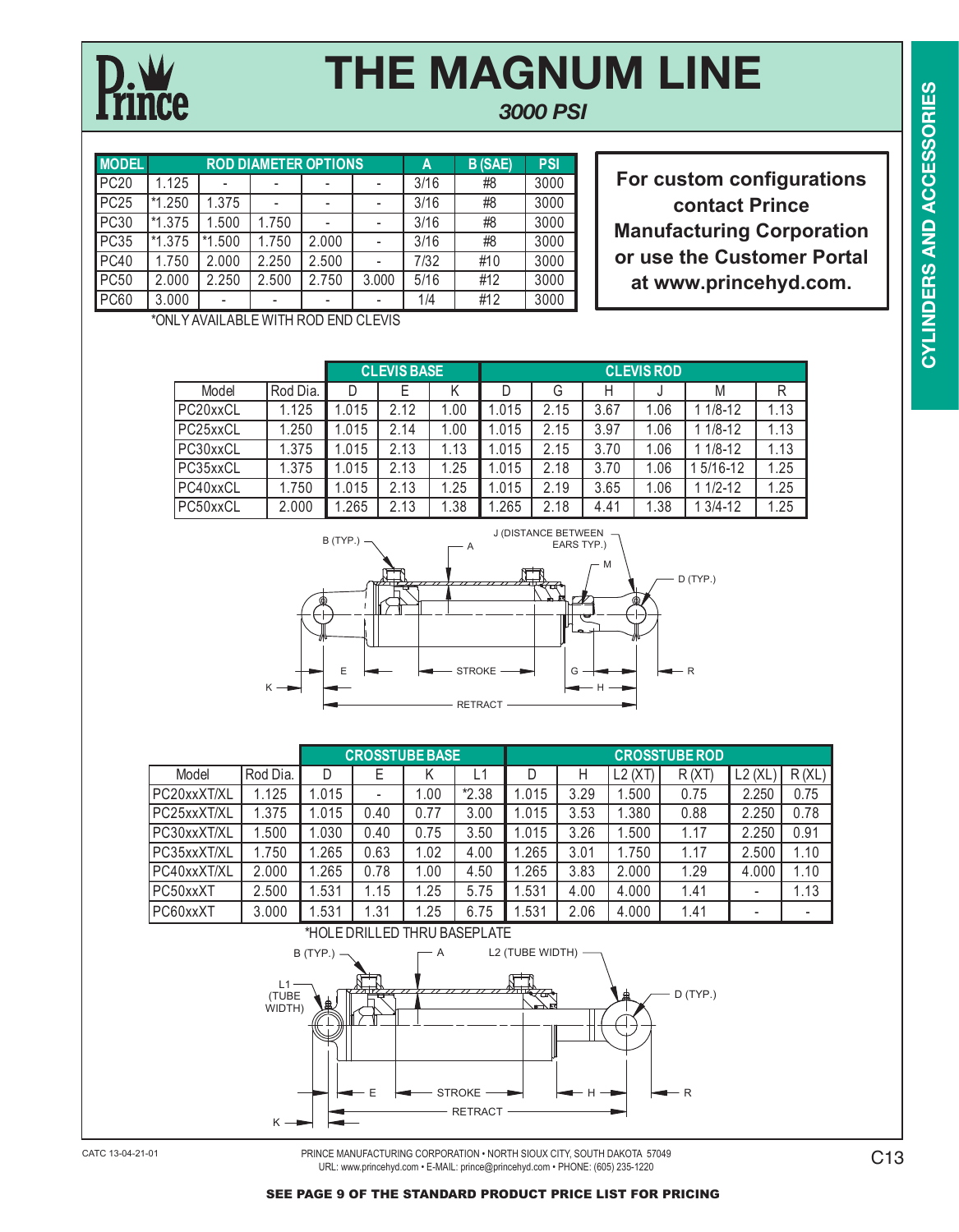*3000 PSI*

| <b>MODEL</b> |          |          |       | <b>ROD DIAMETER OPTIONS</b> |       | A    | <b>B</b> (SAE) | <b>PSI</b> |
|--------------|----------|----------|-------|-----------------------------|-------|------|----------------|------------|
| <b>PC20</b>  | 1.125    |          |       |                             |       | 3/16 | #8             | 3000       |
| <b>PC25</b>  | $*1.250$ | 1.375    |       |                             |       | 3/16 | #8             | 3000       |
| <b>PC30</b>  | $*1.375$ | 1.500    | 1.750 |                             |       | 3/16 | #8             | 3000       |
| <b>PC35</b>  | *1.375   | $*1.500$ | .750  | 2.000                       |       | 3/16 | #8             | 3000       |
| <b>PC40</b>  | 1.750    | 2.000    | 2.250 | 2.500                       |       | 7/32 | #10            | 3000       |
| <b>PC50</b>  | 2.000    | 2.250    | 2.500 | 2.750                       | 3.000 | 5/16 | #12            | 3000       |
| <b>PC60</b>  | 3.000    | -        |       |                             |       | 1/4  | #12            | 3000       |

**For custom configurations contact Prince Manufacturing Corporation or use the Customer Portal at www.princehyd.com.**

\*ONLY AVAILABLE WITH ROD END CLEVIS

|          |          |       | <b>CLEVIS BASE</b> |      |       |      |      | <b>CLEVIS ROD</b> |             |      |
|----------|----------|-------|--------------------|------|-------|------|------|-------------------|-------------|------|
| Model    | Rod Dia. |       |                    |      |       | G    | н    |                   | M           | R    |
| PC20xxCL | 1.125    | 1.015 | 2.12               | 1.00 | 1.015 | 2.15 | 3.67 | 1.06              | $1/8 - 12$  | 1.13 |
| PC25xxCL | 1.250    | 1.015 | 2.14               | 1.00 | 1.015 | 2.15 | 3.97 | 1.06              | $1/8 - 12$  | 1.13 |
| PC30xxCL | 1.375    | 1.015 | 2.13               | .13  | 1.015 | 2.15 | 3.70 | 1.06              | $1/8 - 12$  | 1.13 |
| PC35xxCL | 1.375    | 1.015 | 2.13               | .25  | 1.015 | 2.18 | 3.70 | 1.06              | $5/16 - 12$ | 1.25 |
| PC40xxCL | .750     | 1.015 | 2.13               | .25  | 1.015 | 2.19 | 3.65 | 1.06              | $1/2 - 12$  | 1.25 |
| PC50xxCL | 2.000    | 1.265 | 2.13               | .38  | .265  | 2.18 | 4.41 | 1.38              | $3/4 - 12$  | 1.25 |



|             |          |       |                              | <b>CROSSTUBE BASE</b> |         |      |      |          | <b>CROSSTUBE ROD</b> |             |       |
|-------------|----------|-------|------------------------------|-----------------------|---------|------|------|----------|----------------------|-------------|-------|
| Model       | Rod Dia. |       | Е                            |                       | L1      | D    | H    | $L2$ (XT | R(X)                 | L2<br>`(XL, | R(XL) |
| PC20xxXT/XL | .125     | .015  | $\qquad \qquad \blacksquare$ | .00                   | $*2.38$ | .015 | 3.29 | .500     | 0.75                 | 2.250       | 0.75  |
| PC25xxXT/XL | .375     | 1.015 | 0.40                         | 0.77                  | 3.00    | .015 | 3.53 | .380     | 0.88                 | 2.250       | 0.78  |
| PC30xxXT/XL | .500     | 1.030 | 0.40                         | 0.75                  | 3.50    | .015 | 3.26 | .500     | 1.17                 | 2.250       | 0.91  |
| PC35xxXT/XL | 1.750    | .265  | 0.63                         | 1.02                  | 4.00    | .265 | 3.01 | 1.750    | 1.17                 | 2.500       | 1.10  |
| PC40xxXT/XL | 2.000    | .265  | 0.78                         | .00                   | 4.50    | .265 | 3.83 | 2.000    | 1.29                 | 4.000       | 1.10  |
| PC50xxXT    | 2.500    | .531  | 1.15                         | .25                   | 5.75    | .531 | 4.00 | 4.000    | 1.41                 | -           | 1.13  |
| PC60xxXT    | 3.000    | .531  | .31                          | .25                   | 6.75    | .531 | 2.06 | 4.000    | 1.41                 | -           |       |



PRINCE MANUFACTURING CORPORATION • NORTH SIOUX CITY, SOUTH DAKOTA 57049 URL: www.princehyd.com • E-MAIL: prince@princehyd.com • PHONE: (605) 235-1220 CATC 13-04-21-01 C13